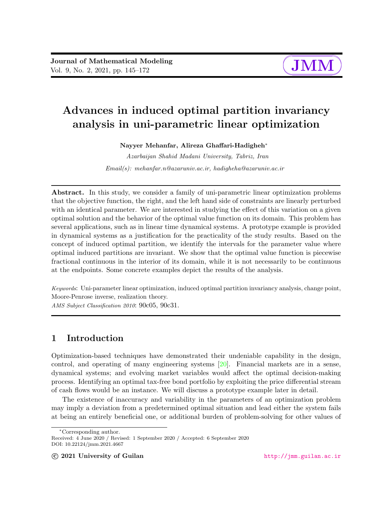

# Advances in induced optimal partition invariancy analysis in uni-parametric linear optimization

Nayyer Mehanfar, Alireza Ghaffari-Hadigheh<sup>∗</sup>

Azarbaijan Shahid Madani University, Tabriz, Iran Email(s): mehanfar.n@azaruniv.ac.ir, hadigheha@azaruniv.ac.ir

Abstract. In this study, we consider a family of uni-parametric linear optimization problems that the objective function, the right, and the left hand side of constraints are linearly perturbed with an identical parameter. We are interested in studying the effect of this variation on a given optimal solution and the behavior of the optimal value function on its domain. This problem has several applications, such as in linear time dynamical systems. A prototype example is provided in dynamical systems as a justification for the practicality of the study results. Based on the concept of induced optimal partition, we identify the intervals for the parameter value where optimal induced partitions are invariant. We show that the optimal value function is piecewise fractional continuous in the interior of its domain, while it is not necessarily to be continuous at the endpoints. Some concrete examples depict the results of the analysis.

Keywords: Uni-parameter linear optimization, induced optimal partition invariancy analysis, change point, Moore-Penrose inverse, realization theory.

AMS Subject Classification 2010: 90c05, 90c31.

# 1 Introduction

Optimization-based techniques have demonstrated their undeniable capability in the design, control, and operating of many engineering systems [\[20\]](#page-27-0). Financial markets are in a sense, dynamical systems; and evolving market variables would affect the optimal decision-making process. Identifying an optimal tax-free bond portfolio by exploiting the price differential stream of cash flows would be an instance. We will discuss a prototype example later in detail.

The existence of inaccuracy and variability in the parameters of an optimization problem may imply a deviation from a predetermined optimal situation and lead either the system fails at being an entirely beneficial one, or additional burden of problem-solving for other values of

<sup>∗</sup>Corresponding author.

Received: 4 June 2020 / Revised: 1 September 2020 / Accepted: 6 September 2020 DOI: 10.22124/jmm.2021.4667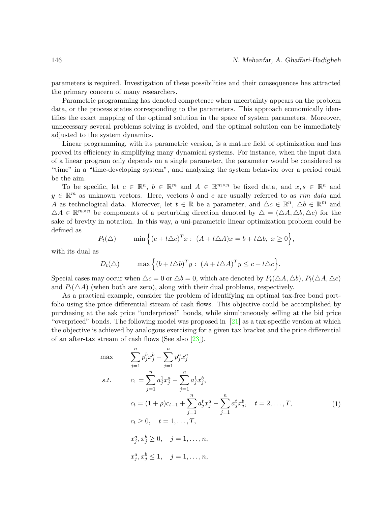parameters is required. Investigation of these possibilities and their consequences has attracted the primary concern of many researchers.

Parametric programming has denoted competence when uncertainty appears on the problem data, or the process states corresponding to the parameters. This approach economically identifies the exact mapping of the optimal solution in the space of system parameters. Moreover, unnecessary several problems solving is avoided, and the optimal solution can be immediately adjusted to the system dynamics.

Linear programming, with its parametric version, is a mature field of optimization and has proved its efficiency in simplifying many dynamical systems. For instance, when the input data of a linear program only depends on a single parameter, the parameter would be considered as "time" in a "time-developing system", and analyzing the system behavior over a period could be the aim.

To be specific, let  $c \in \mathbb{R}^n$ ,  $b \in \mathbb{R}^m$  and  $A \in \mathbb{R}^{m \times n}$  be fixed data, and  $x, s \in \mathbb{R}^n$  and  $y \in \mathbb{R}^m$  as unknown vectors. Here, vectors b and c are usually referred to as rim data and A as technological data. Moreover, let  $t \in \mathbb{R}$  be a parameter, and  $\Delta c \in \mathbb{R}^n$ ,  $\Delta b \in \mathbb{R}^m$  and  $\Delta A \in \mathbb{R}^{m \times n}$  be components of a perturbing direction denoted by  $\Delta = (\Delta A, \Delta b, \Delta c)$  for the sake of brevity in notation. In this way, a uni-parametric linear optimization problem could be defined as

$$
P_t(\triangle) \qquad \min\Big\{ (c+t\triangle c)^T x : (A+t\triangle A)x = b+t\triangle b, \ x \ge 0 \Big\},\
$$

with its dual as

$$
D_t(\triangle)
$$
 max  $\{(b + t\triangle b)^T y : (A + t\triangle A)^T y \le c + t\triangle c\}.$ 

Special cases may occur when  $\Delta c = 0$  or  $\Delta b = 0$ , which are denoted by  $P_t(\Delta A, \Delta b)$ ,  $P_t(\Delta A, \Delta c)$ and  $P_t(\triangle A)$  (when both are zero), along with their dual problems, respectively.

As a practical example, consider the problem of identifying an optimal tax-free bond portfolio using the price differential stream of cash flows. This objective could be accomplished by purchasing at the ask price "underpriced" bonds, while simultaneously selling at the bid price "overpriced" bonds. The following model was proposed in  $[21]$  as a tax-specific version at which the objective is achieved by analogous exercising for a given tax bracket and the price differential of an after-tax stream of cash flows (See also [\[23\]](#page-27-2)).

<span id="page-1-0"></span> $s.t.$ 

$$
\max \qquad \sum_{j=1}^{n} p_j^b x_j^b - \sum_{j=1}^{n} p_j^a x_j^a
$$
\n
$$
s.t. \qquad c_1 = \sum_{j=1}^{n} a_j^1 x_j^a - \sum_{j=1}^{n} a_j^1 x_j^b,
$$
\n
$$
c_t = (1+\rho)c_{t-1} + \sum_{j=1}^{n} a_j^t x_j^a - \sum_{j=1}^{n} a_j^t x_j^b, \quad t = 2, ..., T,
$$
\n
$$
c_t \ge 0, \quad t = 1, ..., T,
$$
\n
$$
x_j^a, x_j^b \ge 0, \quad j = 1, ..., n,
$$
\n
$$
x_j^a, x_j^b \le 1, \quad j = 1, ..., n,
$$
\n(1)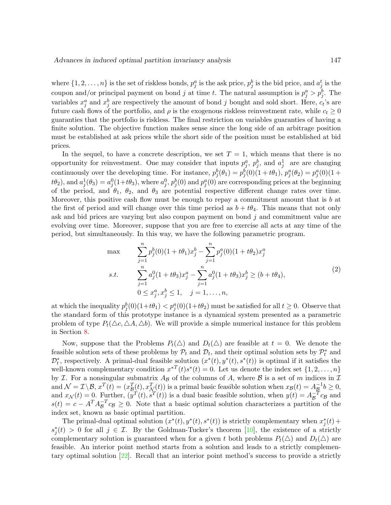where  $\{1, 2, \ldots, n\}$  is the set of riskless bonds,  $p_j^a$  is the ask price,  $p_j^b$  is the bid price, and  $a_j^t$  is the coupon and/or principal payment on bond j at time t. The natural assumption is  $p_j^a > p_j^b$ . The variables  $x_j^a$  and  $x_j^b$  are respectively the amount of bond j bought and sold short. Here,  $c_t$ 's are future cash flows of the portfolio, and  $\rho$  is the exogenous riskless reinvestment rate, while  $c_t \geq 0$ guaranties that the portfolio is riskless. The final restriction on variables guaranties of having a finite solution. The objective function makes sense since the long side of an arbitrage position must be established at ask prices while the short side of the position must be established at bid prices.

In the sequel, to have a concrete description, we set  $T = 1$ , which means that there is no opportunity for reinvestment. One may consider that inputs  $p_j^a$ ,  $p_j^b$ , and  $a_j^1$  are are changing continuously over the developing time. For instance,  $p_j^b(\theta_1) = p_j^b(0)(1+t\theta_1)$ ,  $p_j^a(\theta_2) = p_j^a(0)(1+t\theta_2)$  $(t\theta_2)$ , and  $a_j^1(\theta_3) = a_j^0(1+t\theta_3)$ , where  $a_j^0$ ,  $p_j^b(0)$  and  $p_j^a(0)$  are corresponding prices at the beginning of the period, and  $\theta_1$ ,  $\theta_2$ , and  $\theta_3$  are potential respective different change rates over time. Moreover, this positive cash flow must be enough to repay a commitment amount that is  $b$  at the first of period and will change over this time period as  $b + t\theta_4$ . This means that not only ask and bid prices are varying but also coupon payment on bond  $j$  and commitment value are evolving over time. Moreover, suppose that you are free to exercise all acts at any time of the period, but simultaneously. In this way, we have the following parametric program.

<span id="page-2-0"></span>
$$
\max \qquad \sum_{j=1}^{n} p_j^b(0)(1+t\theta_1)x_j^b - \sum_{j=1}^{n} p_j^a(0)(1+t\theta_2)x_j^a
$$
\n
$$
s.t. \qquad \sum_{j=1}^{n} a_j^0(1+t\theta_3)x_j^a - \sum_{j=1}^{n} a_j^0(1+t\theta_3)x_j^b \ge (b+t\theta_4),
$$
\n
$$
0 \le x_j^a, x_j^b \le 1, \quad j = 1, \dots, n,
$$
\n
$$
(2)
$$

at which the inequality  $p_j^b(0)(1+t\theta_1) < p_j^a(0)(1+t\theta_2)$  must be satisfied for all  $t \geq 0$ . Observe that the standard form of this prototype instance is a dynamical system presented as a parametric problem of type  $P_t(\Delta c, \Delta A, \Delta b)$ . We will provide a simple numerical instance for this problem in Section [8.](#page-18-0)

Now, suppose that the Problems  $P_t(\Delta)$  and  $D_t(\Delta)$  are feasible at  $t = 0$ . We denote the feasible solution sets of these problems by  $\mathcal{P}_t$  and  $\mathcal{D}_t$ , and their optimal solution sets by  $\mathcal{P}_t^*$  and  $\mathcal{D}_t^*$ , respectively. A primal-dual feasible solution  $(x^*(t), y^*(t), s^*(t))$  is optimal if it satisfies the well-known complementary condition  $x^{*T}(t)s^{*}(t) = 0$ . Let us denote the index set  $\{1, 2, ..., n\}$ by *I*. For a nonsingular submatrix  $A_{\mathcal{B}}$  of the columns of A, where  $\mathcal{B}$  is a set of m indices in  $\mathcal{I}$ and  $\mathcal{N} = \mathcal{I} \setminus \mathcal{B}$ ,  $x^T(t) = (x^T_{\mathcal{B}}(t), x^T_{\mathcal{N}}(t))$  is a primal basic feasible solution when  $x_{\mathcal{B}}(t) = A_{\mathcal{B}}^{-1} b \ge 0$ , and  $x_{\mathcal{N}}(t) = 0$ . Further,  $(\tilde{y}^{T}(t), \tilde{s}^{T}(t))$  is a dual basic feasible solution, when  $y(t) = A_{\mathcal{B}}^{-T} c_{\mathcal{B}}$  and  $s(t) = c - A^T A_B^{-T} c_B \ge 0$ . Note that a basic optimal solution characterizes a partition of the index set, known as basic optimal partition.

The primal-dual optimal solution  $(x^*(t), y^*(t), s^*(t))$  is strictly complementary when  $x_j^*(t)$  +  $s_j^*(t) > 0$  for all  $j \in \mathcal{I}$ . By the Goldman-Tucker's theorem [\[10\]](#page-26-0), the existence of a strictly complementary solution is guaranteed when for a given t both problems  $P_t(\Delta)$  and  $D_t(\Delta)$  are feasible. An interior point method starts from a solution and leads to a strictly complementary optimal solution [\[22\]](#page-27-3). Recall that an interior point method's success to provide a strictly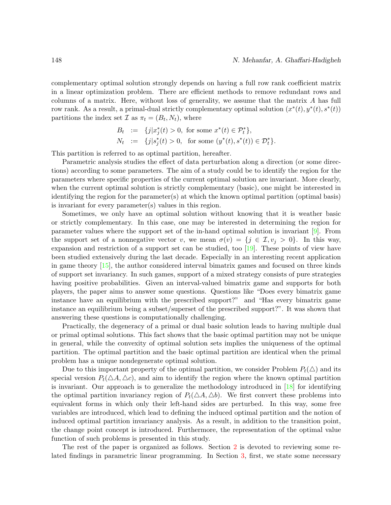complementary optimal solution strongly depends on having a full row rank coefficient matrix in a linear optimization problem. There are efficient methods to remove redundant rows and columns of a matrix. Here, without loss of generality, we assume that the matrix A has full row rank. As a result, a primal-dual strictly complementary optimal solution  $(x^*(t), y^*(t), s^*(t))$ partitions the index set  $\mathcal I$  as  $\pi_t = (B_t, N_t)$ , where

$$
B_t := \{j|x_j^*(t) > 0, \text{ for some } x^*(t) \in \mathcal{P}_t^*\},
$$
  
\n
$$
N_t := \{j|s_j^*(t) > 0, \text{ for some } (y^*(t), s^*(t)) \in \mathcal{D}_t^*\}.
$$

This partition is referred to as optimal partition, hereafter.

Parametric analysis studies the effect of data perturbation along a direction (or some directions) according to some parameters. The aim of a study could be to identify the region for the parameters where specific properties of the current optimal solution are invariant. More clearly, when the current optimal solution is strictly complementary (basic), one might be interested in identifying the region for the parameter(s) at which the known optimal partition (optimal basis) is invariant for every parameter(s) values in this region.

Sometimes, we only have an optimal solution without knowing that it is weather basic or strictly complementary. In this case, one may be interested in determining the region for parameter values where the support set of the in-hand optimal solution is invariant [\[9\]](#page-26-1). From the support set of a nonnegative vector v, we mean  $\sigma(v) = \{j \in \mathcal{I}, v_j > 0\}$ . In this way, expansion and restriction of a support set can be studied, too [\[19\]](#page-27-4). These points of view have been studied extensively during the last decade. Especially in an interesting recent application in game theory [\[15\]](#page-26-2), the author considered interval bimatrix games and focused on three kinds of support set invariancy. In such games, support of a mixed strategy consists of pure strategies having positive probabilities. Given an interval-valued bimatrix game and supports for both players, the paper aims to answer some questions. Questions like "Does every bimatrix game instance have an equilibrium with the prescribed support?" and "Has every bimatrix game instance an equilibrium being a subset/superset of the prescribed support?". It was shown that answering these questions is computationally challenging.

Practically, the degeneracy of a primal or dual basic solution leads to having multiple dual or primal optimal solutions. This fact shows that the basic optimal partition may not be unique in general, while the convexity of optimal solution sets implies the uniqueness of the optimal partition. The optimal partition and the basic optimal partition are identical when the primal problem has a unique nondegenerate optimal solution.

Due to this important property of the optimal partition, we consider Problem  $P_t(\triangle)$  and its special version  $P_t(\Delta A, \Delta c)$ , and aim to identify the region where the known optimal partition is invariant. Our approach is to generalize the methodology introduced in  $[18]$  for identifying the optimal partition invariancy region of  $P_t(\triangle A, \triangle b)$ . We first convert these problems into equivalent forms in which only their left-hand sides are perturbed. In this way, some free variables are introduced, which lead to defining the induced optimal partition and the notion of induced optimal partition invariancy analysis. As a result, in addition to the transition point, the change point concept is introduced. Furthermore, the representation of the optimal value function of such problems is presented in this study.

The rest of the paper is organized as follows. Section [2](#page-4-0) is devoted to reviewing some related findings in parametric linear programming. In Section [3,](#page-5-0) first, we state some necessary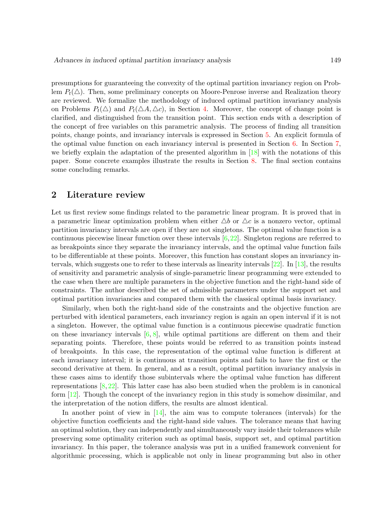presumptions for guaranteeing the convexity of the optimal partition invariancy region on Problem  $P_t(\triangle)$ . Then, some preliminary concepts on Moore-Penrose inverse and Realization theory are reviewed. We formalize the methodology of induced optimal partition invariancy analysis on Problems  $P_t(\triangle)$  and  $P_t(\triangle A, \triangle c)$ , in Section [4.](#page-8-0) Moreover, the concept of change point is clarified, and distinguished from the transition point. This section ends with a description of the concept of free variables on this parametric analysis. The process of finding all transition points, change points, and invariancy intervals is expressed in Section [5.](#page-13-0) An explicit formula of the optimal value function on each invariancy interval is presented in Section [6.](#page-16-0) In Section [7,](#page-18-1) we briefly explain the adaptation of the presented algorithm in [\[18\]](#page-27-5) with the notations of this paper. Some concrete examples illustrate the results in Section [8.](#page-18-0) The final section contains some concluding remarks.

## <span id="page-4-0"></span>2 Literature review

Let us first review some findings related to the parametric linear program. It is proved that in a parametric linear optimization problem when either  $\Delta b$  or  $\Delta c$  is a nonzero vector, optimal partition invariancy intervals are open if they are not singletons. The optimal value function is a continuous piecewise linear function over these intervals  $[6,22]$  $[6,22]$ . Singleton regions are referred to as breakpoints since they separate the invariancy intervals, and the optimal value function fails to be differentiable at these points. Moreover, this function has constant slopes an invariancy intervals, which suggests one to refer to these intervals as linearity intervals  $[22]$ . In  $[13]$ , the results of sensitivity and parametric analysis of single-parametric linear programming were extended to the case when there are multiple parameters in the objective function and the right-hand side of constraints. The author described the set of admissible parameters under the support set and optimal partition invariancies and compared them with the classical optimal basis invariancy.

Similarly, when both the right-hand side of the constraints and the objective function are perturbed with identical parameters, each invariancy region is again an open interval if it is not a singleton. However, the optimal value function is a continuous piecewise quadratic function on these invariancy intervals  $[6, 8]$  $[6, 8]$  $[6, 8]$ , while optimal partitions are different on them and their separating points. Therefore, these points would be referred to as transition points instead of breakpoints. In this case, the representation of the optimal value function is different at each invariancy interval; it is continuous at transition points and fails to have the first or the second derivative at them. In general, and as a result, optimal partition invariancy analysis in these cases aims to identify those subintervals where the optimal value function has different representations  $[8, 22]$  $[8, 22]$  $[8, 22]$ . This latter case has also been studied when the problem is in canonical form  $|12|$ . Though the concept of the invariancy region in this study is somehow dissimilar, and the interpretation of the notion differs, the results are almost identical.

In another point of view in  $[14]$ , the aim was to compute tolerances (intervals) for the objective function coefficients and the right-hand side values. The tolerance means that having an optimal solution, they can independently and simultaneously vary inside their tolerances while preserving some optimality criterion such as optimal basis, support set, and optimal partition invariancy. In this paper, the tolerance analysis was put in a unified framework convenient for algorithmic processing, which is applicable not only in linear programming but also in other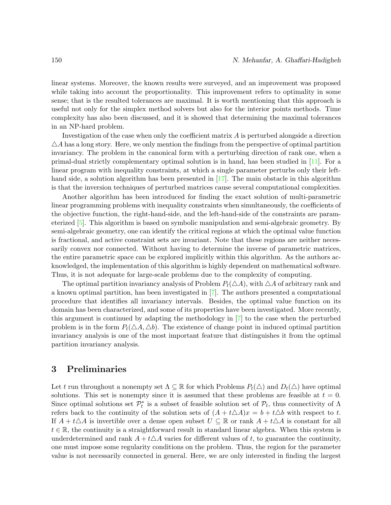linear systems. Moreover, the known results were surveyed, and an improvement was proposed while taking into account the proportionality. This improvement refers to optimality in some sense; that is the resulted tolerances are maximal. It is worth mentioning that this approach is useful not only for the simplex method solvers but also for the interior points methods. Time complexity has also been discussed, and it is showed that determining the maximal tolerances in an NP-hard problem.

Investigation of the case when only the coefficient matrix A is perturbed alongside a direction  $\triangle A$  has a long story. Here, we only mention the findings from the perspective of optimal partition invariancy. The problem in the canonical form with a perturbing direction of rank one, when a primal-dual strictly complementary optimal solution is in hand, has been studied in [\[11\]](#page-26-8). For a linear program with inequality constraints, at which a single parameter perturbs only their left-hand side, a solution algorithm has been presented in [\[17\]](#page-27-6). The main obstacle in this algorithm is that the inversion techniques of perturbed matrices cause several computational complexities.

Another algorithm has been introduced for finding the exact solution of multi-parametric linear programming problems with inequality constraints when simultaneously, the coefficients of the objective function, the right-hand-side, and the left-hand-side of the constraints are parameterized [\[5\]](#page-26-9). This algorithm is based on symbolic manipulation and semi-algebraic geometry. By semi-algebraic geometry, one can identify the critical regions at which the optimal value function is fractional, and active constraint sets are invariant. Note that these regions are neither necessarily convex nor connected. Without having to determine the inverse of parametric matrices, the entire parametric space can be explored implicitly within this algorithm. As the authors acknowledged, the implementation of this algorithm is highly dependent on mathematical software. Thus, it is not adequate for large-scale problems due to the complexity of computing.

The optimal partition invariancy analysis of Problem  $P_t(\triangle A)$ , with  $\triangle A$  of arbitrary rank and a known optimal partition, has been investigated in [\[7\]](#page-26-10). The authors presented a computational procedure that identifies all invariancy intervals. Besides, the optimal value function on its domain has been characterized, and some of its properties have been investigated. More recently, this argument is continued by adapting the methodology in [\[7\]](#page-26-10) to the case when the perturbed problem is in the form  $P_t(\Delta A, \Delta b)$ . The existence of change point in induced optimal partition invariancy analysis is one of the most important feature that distinguishes it from the optimal partition invariancy analysis.

## <span id="page-5-0"></span>3 Preliminaries

Let t run throughout a nonempty set  $\Lambda \subseteq \mathbb{R}$  for which Problems  $P_t(\Delta)$  and  $D_t(\Delta)$  have optimal solutions. This set is nonempty since it is assumed that these problems are feasible at  $t = 0$ . Since optimal solutions set  $\mathcal{P}_t^*$  is a subset of feasible solution set of  $\mathcal{P}_t$ , thus connectivity of  $\Lambda$ refers back to the continuity of the solution sets of  $(A + t\Delta A)x = b + t\Delta b$  with respect to t. If  $A + t\Delta A$  is invertible over a dense open subset  $U \subseteq \mathbb{R}$  or rank  $A + t\Delta A$  is constant for all  $t \in \mathbb{R}$ , the continuity is a straightforward result in standard linear algebra. When this system is underdetermined and rank  $A + t\Delta A$  varies for different values of t, to guarantee the continuity, one must impose some regularity conditions on the problem. Thus, the region for the parameter value is not necessarily connected in general. Here, we are only interested in finding the largest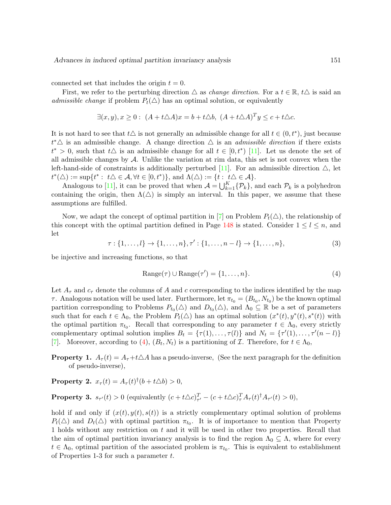connected set that includes the origin  $t = 0$ .

First, we refer to the perturbing direction  $\triangle$  as *change direction*. For a  $t \in \mathbb{R}$ ,  $t\triangle$  is said an admissible change if problem  $P_t(\Delta)$  has an optimal solution, or equivalently

$$
\exists (x, y), x \ge 0: (A + t\triangle A)x = b + t\triangle b, (A + t\triangle A)^{T}y \le c + t\triangle c.
$$

It is not hard to see that  $t\Delta$  is not generally an admissible change for all  $t \in (0, t^*)$ , just because  $t^*$ ∆ is an admissible change. A change direction  $\Delta$  is an *admissible direction* if there exists  $t^* > 0$ , such that  $t\Delta$  is an admissible change for all  $t \in [0, t^*)$  [\[11\]](#page-26-8). Let us denote the set of all admissible changes by  $\mathcal A$ . Unlike the variation at rim data, this set is not convex when the left-hand-side of constraints is additionally perturbed [\[11\]](#page-26-8). For an admissible direction  $\triangle$ , let  $t^*(\triangle) := \sup\{t^* : t\triangle \in \mathcal{A}, \forall t \in [0, t^*)\},\$ and  $\Lambda(\triangle) := \{t : t\triangle \in \mathcal{A}\}.$ 

Analogous to [\[11\]](#page-26-8), it can be proved that when  $A = \bigcup_{k=1}^{K} {\{\mathcal{P}_k\}}$ , and each  $\mathcal{P}_k$  is a polyhedron containing the origin, then  $\Lambda(\triangle)$  is simply an interval. In this paper, we assume that these assumptions are fulfilled.

Now, we adapt the concept of optimal partition in [\[7\]](#page-26-10) on Problem  $P_t(\Delta)$ , the relationship of this concept with the optimal partition defined in Page [148](#page-2-0) is stated. Consider  $1 \leq l \leq n$ , and let

<span id="page-6-1"></span> $\tau: \{1, \ldots, l\} \to \{1, \ldots, n\}, \tau': \{1, \ldots, n-l\} \to \{1, \ldots, n\},$  (3)

be injective and increasing functions, so that

<span id="page-6-0"></span>
$$
Range(\tau) \cup Range(\tau') = \{1, \dots, n\}.
$$
\n(4)

Let  $A_{\tau}$  and  $c_{\tau}$  denote the columns of A and c corresponding to the indices identified by the map  $\tau$ . Analogous notation will be used later. Furthermore, let  $\pi_{t_0} = (B_{t_0}, N_{t_0})$  be the known optimal partition corresponding to Problems  $P_{t_0}(\triangle)$  and  $D_{t_0}(\triangle)$ , and  $\Lambda_0 \subseteq \mathbb{R}$  be a set of parameters such that for each  $t \in \Lambda_0$ , the Problem  $P_t(\Delta)$  has an optimal solution  $(x^*(t), y^*(t), s^*(t))$  with the optimal partition  $\pi_{t_0}$ . Recall that corresponding to any parameter  $t \in \Lambda_0$ , every strictly complementary optimal solution implies  $B_t = \{\tau(1), \ldots, \tau(l)\}\$ and  $N_t = \{\tau'(1), \ldots, \tau'(n-l)\}\$ [\[7\]](#page-26-10). Moreover, according to [\(4\)](#page-6-0),  $(B_t, N_t)$  is a partitioning of  $\mathcal{I}$ . Therefore, for  $t \in \Lambda_0$ ,

**Property 1.**  $A_{\tau}(t) = A_{\tau} + t \Delta A$  has a pseudo-inverse, (See the next paragraph for the definition of pseudo-inverse),

**Property 2.**  $x_{\tau}(t) = A_{\tau}(t)^{\dagger}(b+t\Delta b) > 0$ ,

**Property 3.**  $s_{\tau'}(t) > 0$  (equivalently  $(c + t\Delta c)_{\tau'}^T - (c + t\Delta c)_{\tau}^T A_{\tau}(t)^{\dagger} A_{\tau'}(t) > 0$ ),

hold if and only if  $(x(t), y(t), s(t))$  is a strictly complementary optimal solution of problems  $P_t(\Delta)$  and  $D_t(\Delta)$  with optimal partition  $\pi_{t_0}$ . It is of importance to mention that Property 1 holds without any restriction on t and it will be used in other two properties. Recall that the aim of optimal partition invariancy analysis is to find the region  $\Lambda_0 \subseteq \Lambda$ , where for every  $t \in \Lambda_0$ , optimal partition of the associated problem is  $\pi_{t_0}$ . This is equivalent to establishment of Properties 1-3 for such a parameter t.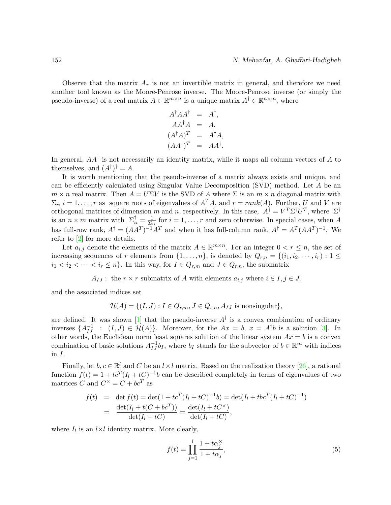Observe that the matrix  $A_{\tau}$  is not an invertible matrix in general, and therefore we need another tool known as the Moore-Penrose inverse. The Moore-Penrose inverse (or simply the pseudo-inverse) of a real matrix  $A \in \mathbb{R}^{m \times n}$  is a unique matrix  $A^{\dagger} \in \mathbb{R}^{n \times m}$ , where

$$
A^{\dagger} A A^{\dagger} = A^{\dagger},
$$
  
\n
$$
A A^{\dagger} A = A,
$$
  
\n
$$
(A^{\dagger} A)^{T} = A^{\dagger} A,
$$
  
\n
$$
(A A^{\dagger})^{T} = A A^{\dagger}.
$$

In general,  $AA^{\dagger}$  is not necessarily an identity matrix, while it maps all column vectors of A to themselves, and  $(A^{\dagger})^{\dagger} = A$ .

It is worth mentioning that the pseudo-inverse of a matrix always exists and unique, and can be efficiently calculated using Singular Value Decomposition (SVD) method. Let A be an  $m \times n$  real matrix. Then  $A = U\Sigma V$  is the SVD of A where  $\Sigma$  is an  $m \times n$  diagonal matrix with  $\Sigma_{ii}$  i = 1,..., r as square roots of eigenvalues of  $A<sup>T</sup>A$ , and  $r = rank(A)$ . Further, U and V are orthogonal matrices of dimension m and n, respectively. In this case,  $A^{\dagger} = V^T \Sigma^{\dagger} U^T$ , where  $\Sigma^{\dagger}$ is an  $\overline{n} \times \overline{m}$  matrix with  $\Sigma_{ii}^{\dagger} = \frac{1}{\Sigma_i}$  $\frac{1}{\Sigma_{ii}}$  for  $i = 1, \ldots, r$  and zero otherwise. In special cases, when A has full-row rank,  $A^{\dagger} = (AA^T)^{-1}A^T$  and when it has full-column rank,  $A^{\dagger} = A^T(AA^T)^{-1}$ . We refer to [\[2\]](#page-26-11) for more details.

Let  $a_{i,j}$  denote the elements of the matrix  $A \in \mathbb{R}^{m \times n}$ . For an integer  $0 < r \leq n$ , the set of increasing sequences of r elements from  $\{1,\ldots,n\}$ , is denoted by  $Q_{r,n} = \{(i_1,i_2,\cdots,i_r): 1 \leq$  $i_1 < i_2 < \cdots < i_r \leq n$ . In this way, for  $I \in Q_{r,m}$  and  $J \in Q_{r,n}$ , the submatrix

 $A_{IJ}$ : the  $r \times r$  submatrix of A with elements  $a_{i,j}$  where  $i \in I, j \in J$ ,

and the associated indices set

$$
\mathcal{H}(A) = \{ (I, J) : I \in Q_{r,m}, J \in Q_{r,n}, A_{IJ} \text{ is nonsingular} \},
$$

are defined. It was shown [\[1\]](#page-26-12) that the pseudo-inverse  $A^{\dagger}$  is a convex combination of ordinary inverses  $\{A_{IJ}^{-1} : (I,J) \in \mathcal{H}(A)\}$ . Moreover, for the  $Ax = b$ ,  $x = A^{\dagger}b$  is a solution [\[3\]](#page-26-13). In other words, the Euclidean norm least squares solution of the linear system  $Ax = b$  is a convex combination of basic solutions  $A_{IJ}^{-1}b_I$ , where  $b_I$  stands for the subvector of  $b \in \mathbb{R}^m$  with indices in I.

Finally, let  $b, c \in \mathbb{R}^l$  and C be an  $l \times l$  matrix. Based on the realization theory [\[26\]](#page-27-7), a rational function  $f(t) = 1 + t c^T (I_l + tC)^{-1} b$  can be described completely in terms of eigenvalues of two matrices C and  $C^{\times} = C + bc^{T}$  as

$$
f(t) = \det f(t) = \det(1 + tc^T(I_l + tC)^{-1}b) = \det(I_l + tbc^T(I_l + tC)^{-1})
$$
  
= 
$$
\frac{\det(I_l + t(C + bc^T))}{\det(I_l + tC)} = \frac{\det(I_l + tC^{\times})}{\det(I_l + tC)},
$$

where  $I_l$  is an  $l \times l$  identity matrix. More clearly,

<span id="page-7-0"></span>
$$
f(t) = \prod_{j=1}^{l} \frac{1 + t\alpha_j^{\times}}{1 + t\alpha_j},
$$
\n(5)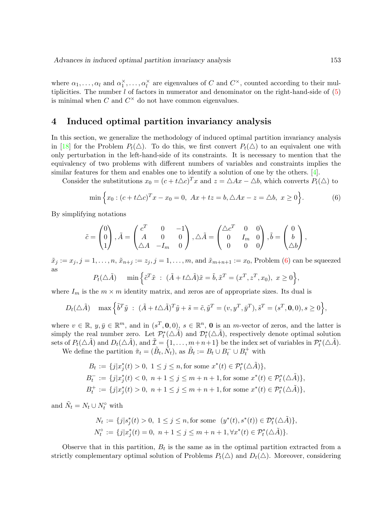where  $\alpha_1, \ldots, \alpha_l$  and  $\alpha_1^{\times}, \ldots, \alpha_l^{\times}$  are eigenvalues of C and  $C^{\times}$ , counted according to their multiplicities. The number  $l$  of factors in numerator and denominator on the right-hand-side of  $(5)$ is minimal when  $C$  and  $C^{\times}$  do not have common eigenvalues.

## <span id="page-8-0"></span>4 Induced optimal partition invariancy analysis

In this section, we generalize the methodology of induced optimal partition invariancy analysis in [\[18\]](#page-27-5) for the Problem  $P_t(\Delta)$ . To do this, we first convert  $P_t(\Delta)$  to an equivalent one with only perturbation in the left-hand-side of its constraints. It is necessary to mention that the equivalency of two problems with different numbers of variables and constraints implies the similar features for them and enables one to identify a solution of one by the others. [\[4\]](#page-26-14).

Consider the substitutions  $x_0 = (c + t\Delta c)^T x$  and  $z = \Delta Ax - \Delta b$ , which converts  $P_t(\Delta)$  to

<span id="page-8-1"></span>
$$
\min \left\{ x_0 : (c + t\Delta c)^T x - x_0 = 0, \ Ax + tz = b, \ \Delta Ax - z = \Delta b, \ x \ge 0 \right\}.
$$
 (6)

By simplifying notations

$$
\tilde{c} = \begin{pmatrix} 0 \\ 0 \\ 1 \end{pmatrix}, \tilde{A} = \begin{pmatrix} c^T & 0 & -1 \\ A & 0 & 0 \\ \Delta A & -I_m & 0 \end{pmatrix}, \Delta \tilde{A} = \begin{pmatrix} \Delta c^T & 0 & 0 \\ 0 & I_m & 0 \\ 0 & 0 & 0 \end{pmatrix}, \tilde{b} = \begin{pmatrix} 0 \\ b \\ \Delta b \end{pmatrix},
$$

 $\tilde{x}_j := x_j, j = 1, \ldots, n, \tilde{x}_{n+j} := z_j, j = 1, \ldots, m$ , and  $\tilde{x}_{m+n+1} := x_0$ , Problem [\(6\)](#page-8-1) can be squeezed as

$$
P_t(\triangle \tilde{A}) \quad \min \Big\{ \tilde{c}^T \tilde{x} \ : \ (\tilde{A} + t \triangle \tilde{A}) \tilde{x} = \tilde{b}, \tilde{x}^T = (x^T, z^T, x_0), \ x \ge 0 \Big\},
$$

where  $I_m$  is the  $m \times m$  identity matrix, and zeros are of appropriate sizes. Its dual is

$$
D_t(\triangle \tilde{A}) \quad \max\left\{ \tilde{b}^T \tilde{y} \ : \ (\tilde{A} + t\triangle \tilde{A})^T \tilde{y} + \tilde{s} = \tilde{c}, \tilde{y}^T = (v, y^T, \bar{y}^T), \tilde{s}^T = (s^T, \mathbf{0}, 0), s \ge 0 \right\},\
$$

where  $v \in \mathbb{R}, y, \bar{y} \in \mathbb{R}^m$ , and in  $(s^T, \mathbf{0}, 0), s \in \mathbb{R}^n$ , **0** is an *m*-vector of zeros, and the latter is simply the real number zero. Let  $\mathcal{P}_t^*(\Delta \tilde{A})$  and  $\mathcal{D}_t^*(\Delta \tilde{A})$ , respectively denote optimal solution sets of  $P_t(\triangle \tilde{A})$  and  $D_t(\triangle \tilde{A})$ , and  $\tilde{\mathcal{I}} = \{1, \ldots, m+n+1\}$  be the index set of variables in  $\mathcal{P}_t^*(\triangle \tilde{A})$ .

We define the partition  $\tilde{\pi}_t = (\tilde{B}_t, \tilde{N}_t)$ , as  $\tilde{B}_t := B_t \cup B_t^- \cup B_t^+$  with

$$
B_t := \{j|x_j^*(t) > 0, 1 \le j \le n, \text{for some } x^*(t) \in \mathcal{P}_t^*(\triangle \tilde{A})\},
$$
  
\n
$$
B_t^- := \{j|x_j^*(t) < 0, n+1 \le j \le m+n+1, \text{for some } x^*(t) \in \mathcal{P}_t^*(\triangle \tilde{A})\},
$$
  
\n
$$
B_t^+ := \{j|x_j^*(t) > 0, n+1 \le j \le m+n+1, \text{for some } x^*(t) \in \mathcal{P}_t^*(\triangle \tilde{A})\},
$$

and  $\tilde{N}_t = N_t \cup N_t^{\circ}$  with

$$
N_t := \{ j | s_j^*(t) > 0, \ 1 \le j \le n, \text{for some } (y^*(t), s^*(t)) \in \mathcal{D}_t^*(\triangle \tilde{A}) \},
$$
  

$$
N_t^{\circ} := \{ j | x_j^*(t) = 0, \ n + 1 \le j \le m + n + 1, \forall x^*(t) \in \mathcal{P}_t^*(\triangle \tilde{A}) \}.
$$

Observe that in this partition,  $B_t$  is the same as in the optimal partition extracted from a strictly complementary optimal solution of Problems  $P_t(\Delta)$  and  $D_t(\Delta)$ . Moreover, considering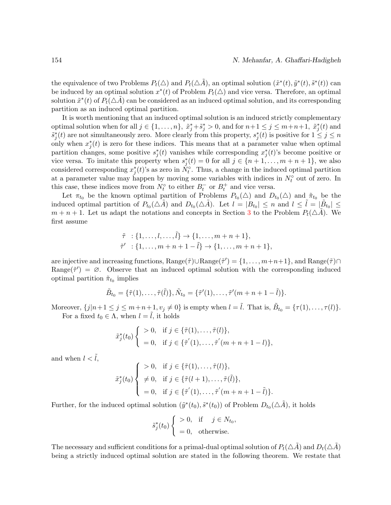the equivalence of two Problems  $P_t(\triangle)$  and  $P_t(\triangle \tilde{A})$ , an optimal solution  $(\tilde{x}^*(t), \tilde{y}^*(t), \tilde{s}^*(t))$  can be induced by an optimal solution  $x^*(t)$  of Problem  $P_t(\triangle)$  and vice versa. Therefore, an optimal solution  $\tilde{x}^*(t)$  of  $P_t(\triangle \tilde{A})$  can be considered as an induced optimal solution, and its corresponding partition as an induced optimal partition.

It is worth mentioning that an induced optimal solution is an induced strictly complementary optimal solution when for all  $j \in \{1, ..., n\}$ ,  $\tilde{x}_j^* + \tilde{s}_j^* > 0$ , and for  $n+1 \le j \le m+n+1$ ,  $\tilde{x}_j^*(t)$  and  $\tilde{s}_j^*(t)$  are not simultaneously zero. More clearly from this property,  $s_j^*(t)$  is positive for  $1 \leq j \leq n$ only when  $x_j^*(t)$  is zero for these indices. This means that at a parameter value when optimal partition changes, some positive  $s_j^*(t)$  vanishes while corresponding  $x_j^*(t)$ 's become positive or vice versa. To imitate this property when  $s_j^*(t) = 0$  for all  $j \in \{n+1, \ldots, m+n+1\}$ , we also considered corresponding  $x_j^*(t)$ 's as zero in  $N_t^{\circ}$ . Thus, a change in the induced optimal partition at a parameter value may happen by moving some variables with indices in  $N_t^{\circ}$  out of zero. In this case, these indices move from  $N_t^{\circ}$  to either  $B_t^-$  or  $B_t^+$  and vice versa.

Let  $\pi_{t_0}$  be the known optimal partition of Problems  $P_{t_0}(\triangle)$  and  $D_{t_0}(\triangle)$  and  $\tilde{\pi}_{t_0}$  be the induced optimal partition of  $P_{t_0}(\triangle \tilde{A})$  and  $D_{t_0}(\triangle \tilde{A})$ . Let  $l = |B_{t_0}| \leq n$  and  $l \leq \tilde{l} = |\tilde{B}_{t_0}| \leq$  $m + n + 1$ . Let us adapt the notations and concepts in Section [3](#page-5-0) to the Problem  $P_t(\triangle A)$ . We first assume

$$
\tilde{\tau} : \{1, \ldots, l, \ldots, \tilde{l}\} \to \{1, \ldots, m+n+1\},
$$
  

$$
\tilde{\tau}' : \{1, \ldots, m+n+1-\tilde{l}\} \to \{1, \ldots, m+n+1\},
$$

are injective and increasing functions,  $Range(\tilde{\tau}) \cup Range(\tilde{\tau}') = \{1, \ldots, m+n+1\}$ , and  $Range(\tilde{\tau}) \cap$ Range( $\tilde{\tau}'$ ) =  $\varnothing$ . Observe that an induced optimal solution with the corresponding induced optimal partition  $\tilde{\pi}_{t_0}$  implies

$$
\tilde{B}_{t_0} = {\tilde{\tau}(1), \ldots, \tilde{\tau}(\tilde{l})}, \tilde{N}_{t_0} = {\tilde{\tau}'(1), \ldots, \tilde{\tau}'(m+n+1-\tilde{l})}.
$$

Moreover,  $\{j|n+1\leq j\leq m+n+1, v_j\neq 0\}$  is empty when  $l=\tilde{l}$ . That is,  $\tilde{B}_{t_0} = {\tau(1), \ldots, \tau(l)}$ . For a fixed  $t_0 \in \Lambda$ , when  $l = \tilde{l}$ , it holds

$$
\tilde{x}_j^*(t_0) \begin{cases}\n>0, & \text{if } j \in \{\tilde{\tau}(1), \dots, \tilde{\tau}(l)\}, \\
=0, & \text{if } j \in \{\tilde{\tau}'(1), \dots, \tilde{\tau}'(m+n+1-l)\},\n\end{cases}
$$

and when  $l < \tilde{l}$ ,

$$
\tilde{x}_j^*(t_0) \begin{cases}\n> 0, & \text{if } j \in \{\tilde{\tau}(1), \dots, \tilde{\tau}(l)\}, \\
\neq 0, & \text{if } j \in \{\tilde{\tau}(l+1), \dots, \tilde{\tau}(\tilde{l})\}, \\
= 0, & \text{if } j \in \{\tilde{\tau}'(1), \dots, \tilde{\tau}'(m+n+1-\tilde{l})\}.\n\end{cases}
$$

Further, for the induced optimal solution  $(\tilde{y}^*(t_0), \tilde{s}^*(t_0))$  of Problem  $D_{t_0}(\triangle \tilde{A})$ , it holds

$$
\tilde{s}_j^*(t_0) \begin{cases}\n>0, & \text{if } j \in N_{t_0}, \\
=0, & \text{otherwise.} \n\end{cases}
$$

The necessary and sufficient conditions for a primal-dual optimal solution of  $P_t(\Delta \tilde{A})$  and  $D_t(\Delta \tilde{A})$ being a strictly induced optimal solution are stated in the following theorem. We restate that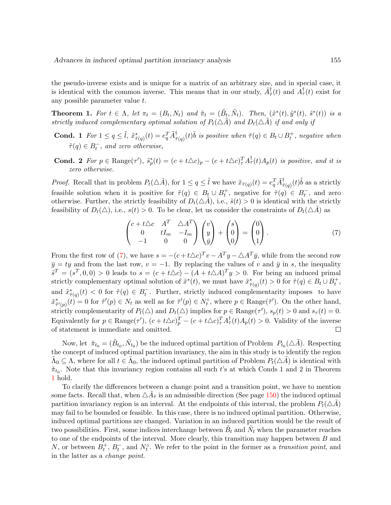the pseudo-inverse exists and is unique for a matrix of an arbitrary size, and in special case, it is identical with the common inverse. This means that in our study,  $\tilde{A}^{\dagger}_{\tilde{\tau}}(t)$  and  $\tilde{A}^{\dagger}_{\tau}(t)$  exist for any possible parameter value t.

<span id="page-10-1"></span>**Theorem 1.** For  $t \in \Lambda$ , let  $\pi_t = (B_t, N_t)$  and  $\tilde{\pi}_t = (\tilde{B}_t, \tilde{N}_t)$ . Then,  $(\tilde{x}^*(t), \tilde{y}^*(t), \tilde{s}^*(t))$  is a strictly induced complementary optimal solution of  $P_t(\triangle \tilde{A})$  and  $D_t(\triangle \tilde{A})$  if and only if

- **Cond.** 1 For  $1 \leq q \leq \tilde{l}$ ,  $\tilde{x}^*_{\tilde{\tau}(q)}(t) = e_q^T \tilde{A}^{\dagger}_{\tilde{\tau}(q)}(t)$  is positive when  $\tilde{\tau}(q) \in B_t \cup B_t^+$ , negative when  $\tilde{\tau}(q) \in B_t^-$ , and zero otherwise,
- **Cond.** 2 For  $p \in \text{Range}(\tau')$ ,  $\tilde{s}_p^*(t) = (c + t\Delta c)_p (c + t\Delta c)_\tau^T A_\tau^\dagger(t) A_p(t)$  is positive, and it is zero otherwise.

*Proof.* Recall that in problem  $P_t(\triangle \tilde{A})$ , for  $1 \leq q \leq \tilde{l}$  we have  $\tilde{x}_{\tilde{\tau}(q)}(t) = e_q^T \tilde{A}_{\tilde{\tau}(q)}^{\dagger}(t) \tilde{b}$  as a strictly feasible solution when it is positive for  $\tilde{\tau}(q) \in B_t \cup B_t^+$ , negative for  $\tilde{\tau}(q) \in B_t^-$ , and zero otherwise. Further, the strictly feasibility of  $D_t(\triangle A)$ , i.e.,  $\tilde{s}(t) > 0$  is identical with the strictly feasibility of  $D_t(\Delta)$ , i.e.,  $s(t) > 0$ . To be clear, let us consider the constraints of  $D_t(\Delta A)$  as

<span id="page-10-0"></span>
$$
\begin{pmatrix} c+t\Delta c & A^T & \Delta A^T \\ 0 & tI_m & -I_m \\ -1 & 0 & 0 \end{pmatrix} \begin{pmatrix} v \\ y \\ \bar{y} \end{pmatrix} + \begin{pmatrix} s \\ 0 \\ 0 \end{pmatrix} = \begin{pmatrix} 0 \\ 0 \\ 1 \end{pmatrix}.
$$
 (7)

From the first row of [\(7\)](#page-10-0), we have  $s = -(c + t\Delta c)^T v - A^T y - \Delta A^T \bar{y}$ , while from the second row  $\bar{y} = ty$  and from the last row,  $v = -1$ . By replacing the values of v and  $\bar{y}$  in s, the inequality  $\tilde{s}^T = (s^T, 0, 0) > 0$  leads to  $s = (c + t\Delta c) - (A + t\Delta A)^T y > 0$ . For being an induced primal strictly complementary optimal solution of  $\tilde{x}^*(t)$ , we must have  $\tilde{x}^*_{\tilde{\tau}(q)}(t) > 0$  for  $\tilde{\tau}(q) \in B_t \cup B_t^+$ , and  $\tilde{x}^*_{\tilde{\tau}(q)}(t) < 0$  for  $\tilde{\tau}(q) \in B_t^-$ . Further, strictly induced complementarity imposes to have  $\tilde{x}^*_{\tilde{\tau}'(p)}(t) = 0$  for  $\tilde{\tau}'(p) \in N_t$  as well as for  $\tilde{\tau}'(p) \in N_t^{\circ}$ , where  $p \in \text{Range}(\tilde{\tau}')$ . On the other hand, strictly complementarity of  $P_t(\triangle)$  and  $D_t(\triangle)$  implies for  $p \in \text{Range}(\tau')$ ,  $s_p(t) > 0$  and  $s_\tau(t) = 0$ . Equivalently for  $p \in \text{Range}(\tau')$ ,  $(c+t\triangle c)_{p}^{T} - (c+t\triangle c)_{\tau}^{T}A_{\tau}^{\dagger}(t)A_{p}(t) > 0$ . Validity of the inverse of statement is immediate and omitted.  $\Box$ 

Now, let  $\tilde{\pi}_{t_0} = (\tilde{B}_{t_0}, \tilde{N}_{t_0})$  be the induced optimal partition of Problem  $P_{t_0}(\triangle \tilde{A})$ . Respecting the concept of induced optimal partition invariancy, the aim in this study is to identify the region  $\tilde{\Lambda}_0 \subseteq \Lambda$ , where for all  $t \in \tilde{\Lambda}_0$ , the induced optimal partition of Problem  $P_t(\Delta \tilde{A})$  is identical with  $\tilde{\pi}_{t_0}$ . Note that this invariancy region contains all such t's at which Conds 1 and 2 in Theorem [1](#page-10-1) hold.

To clarify the differences between a change point and a transition point, we have to mention some facts. Recall that, when  $\Delta \tilde{A}_{\tilde{\tau}}$  is an admissible direction (See page [150\)](#page-5-0) the induced optimal partition invariancy region is an interval. At the endpoints of this interval, the problem  $P_t(\triangle A)$ may fail to be bounded or feasible. In this case, there is no induced optimal partition. Otherwise, induced optimal partitions are changed. Variation in an induced partition would be the result of two possibilities. First, some indices interchange between  $\tilde{B}_t$  and  $\tilde{N}_t$  when the parameter reaches to one of the endpoints of the interval. More clearly, this transition may happen between  $B$  and N, or between  $B_t^+, B_t^-,$  and  $N_t^{\circ}$ . We refer to the point in the former as a transition point, and in the latter as a change point.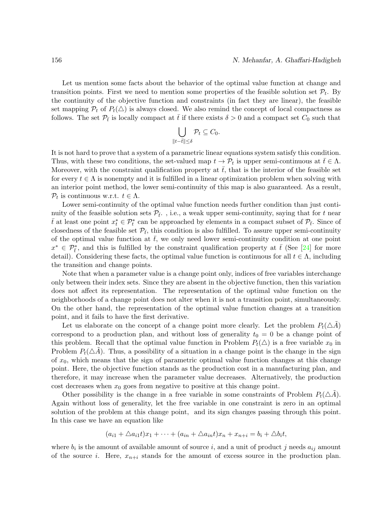Let us mention some facts about the behavior of the optimal value function at change and transition points. First we need to mention some properties of the feasible solution set  $\mathcal{P}_t$ . By the continuity of the objective function and constraints (in fact they are linear), the feasible set mapping  $\mathcal{P}_t$  of  $P_t(\triangle)$  is always closed. We also remind the concept of local compactness as follows. The set  $\mathcal{P}_{\bar{t}}$  is locally compact at  $\bar{t}$  if there exists  $\delta > 0$  and a compact set  $C_0$  such that

$$
\bigcup_{\|t-\bar t\|\leq\delta}\mathcal{P}_t\subseteq C_0.
$$

It is not hard to prove that a system of a parametric linear equations system satisfy this condition. Thus, with these two conditions, the set-valued map  $t \to \mathcal{P}_t$  is upper semi-continuous at  $\bar{t} \in \Lambda$ . Moreover, with the constraint qualification property at  $\bar{t}$ , that is the interior of the feasible set for every  $t \in \Lambda$  is nonempty and it is fulfilled in a linear optimization problem when solving with an interior point method, the lower semi-continuity of this map is also guaranteed. As a result,  $P_t$  is continuous w.r.t.  $t \in \Lambda$ .

Lower semi-continuity of the optimal value function needs further condition than just continuity of the feasible solution sets  $\mathcal{P}_{\bar{t}}$ ., i.e., a weak upper semi-continuity, saying that for t near  $\bar{t}$  at least one point  $x_t^* \in \mathcal{P}_t^*$  can be approached by elements in a compact subset of  $\mathcal{P}_{\bar{t}}$ . Since of closedness of the feasible set  $\mathcal{P}_{\bar{t}}$ , this condition is also fulfilled. To assure upper semi-continuity of the optimal value function at  $t$ , we only need lower semi-continuity condition at one point  $x^* \in \mathcal{P}_{\bar{t}}^*$ , and this is fulfilled by the constraint qualification property at  $\bar{t}$  (See [\[24\]](#page-27-8) for more detail). Considering these facts, the optimal value function is continuous for all  $t \in \Lambda$ , including the transition and change points.

Note that when a parameter value is a change point only, indices of free variables interchange only between their index sets. Since they are absent in the objective function, then this variation does not affect its representation. The representation of the optimal value function on the neighborhoods of a change point does not alter when it is not a transition point, simultaneously. On the other hand, the representation of the optimal value function changes at a transition point, and it fails to have the first derivative.

Let us elaborate on the concept of a change point more clearly. Let the problem  $P_t(\Delta A)$ correspond to a production plan, and without loss of generality  $t_0 = 0$  be a change point of this problem. Recall that the optimal value function in Problem  $P_t(\triangle)$  is a free variable  $x_0$  in Problem  $P_t(\Delta A)$ . Thus, a possibility of a situation in a change point is the change in the sign of  $x_0$ , which means that the sign of parametric optimal value function changes at this change point. Here, the objective function stands as the production cost in a manufacturing plan, and therefore, it may increase when the parameter value decreases. Alternatively, the production cost decreases when  $x_0$  goes from negative to positive at this change point.

Other possibility is the change in a free variable in some constraints of Problem  $P_t(\triangle A)$ . Again without loss of generality, let the free variable in one constraint is zero in an optimal solution of the problem at this change point, and its sign changes passing through this point. In this case we have an equation like

$$
(a_{i1}+\triangle a_{i1}t)x_1+\cdots+(a_{in}+\triangle a_{in}t)x_n+x_{n+i}=b_i+\triangle b_i t,
$$

where  $b_i$  is the amount of available amount of source i, and a unit of product j needs  $a_{ij}$  amount of the source i. Here,  $x_{n+i}$  stands for the amount of excess source in the production plan.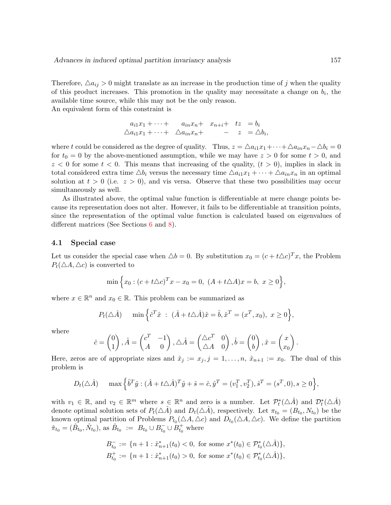Therefore,  $\Delta a_{ij} > 0$  might translate as an increase in the production time of j when the quality of this product increases. This promotion in the quality may necessitate a change on  $b_i$ , the available time source, while this may not be the only reason.

An equivalent form of this constraint is

$$
a_{i1}x_1 + \cdots + a_{in}x_n + x_{n+i} + tz = b_i
$$
  

$$
\Delta a_{i1}x_1 + \cdots + \Delta a_{in}x_n + - z = \Delta b_i
$$

,

where t could be considered as the degree of quality. Thus,  $z = \Delta a_{i1}x_1 + \cdots + \Delta a_{in}x_n - \Delta b_i = 0$ for  $t_0 = 0$  by the above-mentioned assumption, while we may have  $z > 0$  for some  $t > 0$ , and  $z < 0$  for some  $t < 0$ . This means that increasing of the quality,  $(t > 0)$ , implies in slack in total considered extra time  $\Delta b_i$  versus the necessary time  $\Delta a_{i1}x_1 + \cdots + \Delta a_{in}x_n$  in an optimal solution at  $t > 0$  (i.e.  $z > 0$ ), and vis versa. Observe that these two possibilities may occur simultaneously as well.

As illustrated above, the optimal value function is differentiable at mere change points because its representation does not alter. However, it fails to be differentiable at transition points, since the representation of the optimal value function is calculated based on eigenvalues of different matrices (See Sections [6](#page-16-0) and [8\)](#page-18-0).

#### 4.1 Special case

Let us consider the special case when  $\Delta b = 0$ . By substitution  $x_0 = (c + t\Delta c)^T x$ , the Problem  $P_t(\triangle A, \triangle c)$  is converted to

$$
\min \Big\{ x_0 : (c + t\triangle c)^T x - x_0 = 0, \ (A + t\triangle A)x = b, \ x \ge 0 \Big\},\
$$

where  $x \in \mathbb{R}^n$  and  $x_0 \in \mathbb{R}$ . This problem can be summarized as

$$
P_t(\triangle \hat{A}) \quad \min \left\{ \hat{c}^T \hat{x} : (\hat{A} + t \triangle \hat{A}) \hat{x} = \hat{b}, \hat{x}^T = (x^T, x_0), \ x \ge 0 \right\},\
$$

where

$$
\hat{c} = \begin{pmatrix} 0 \\ 1 \end{pmatrix}, \hat{A} = \begin{pmatrix} c^T & -1 \\ A & 0 \end{pmatrix}, \triangle \hat{A} = \begin{pmatrix} \triangle c^T & 0 \\ \triangle A & 0 \end{pmatrix}, \hat{b} = \begin{pmatrix} 0 \\ b \end{pmatrix}, \hat{x} = \begin{pmatrix} x \\ x_0 \end{pmatrix}.
$$

Here, zeros are of appropriate sizes and  $\hat{x}_j := x_j, j = 1, \ldots, n$ ,  $\hat{x}_{n+1} := x_0$ . The dual of this problem is

$$
D_t(\triangle \hat{A}) \quad \max \left\{ \hat{b}^T \hat{y} : (\hat{A} + t \triangle \hat{A})^T \hat{y} + \hat{s} = \hat{c}, \hat{y}^T = (v_1^T, v_2^T), \hat{s}^T = (s^T, 0), s \ge 0 \right\},\
$$

with  $v_1 \in \mathbb{R}$ , and  $v_2 \in \mathbb{R}^m$  where  $s \in \mathbb{R}^n$  and zero is a number. Let  $\mathcal{P}_t^*(\triangle \hat{A})$  and  $\mathcal{D}_t^*(\triangle \hat{A})$ denote optimal solution sets of  $P_t(\triangle \hat{A})$  and  $D_t(\triangle \hat{A})$ , respectively. Let  $\pi_{t_0} = (B_{t_0}, N_{t_0})$  be the known optimal partition of Problems  $P_{t_0}(\triangle A, \triangle c)$  and  $D_{t_0}(\triangle A, \triangle c)$ . We define the partition  $\hat{\pi}_{t_0} = (\hat{B}_{t_0}, \hat{N}_{t_0}),$  as  $\hat{B}_{t_0} := B_{t_0} \cup B_{t_0}^{-} \cup B_{t_0}^{+}$  where

$$
B_{t_0}^- := \{ n + 1 : \hat{x}_{n+1}^*(t_0) < 0, \text{ for some } x^*(t_0) \in \mathcal{P}_{t_0}^*(\triangle \hat{A}) \},
$$
\n
$$
B_{t_0}^+ := \{ n + 1 : \hat{x}_{n+1}^*(t_0) > 0, \text{ for some } x^*(t_0) \in \mathcal{P}_{t_0}^*(\triangle \hat{A}) \},
$$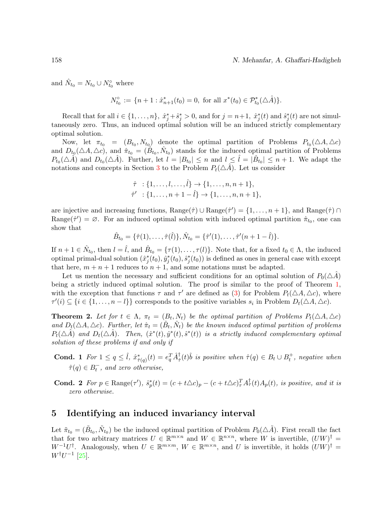and  $\hat{N}_{t_0} = N_{t_0} \cup N_{t_0}^{\circ}$  where

$$
N_{t_0}^{\circ} := \{ n + 1 : \hat{x}_{n+1}^*(t_0) = 0, \text{ for all } x^*(t_0) \in \mathcal{P}_{t_0}^*(\triangle \hat{A}) \}.
$$

Recall that for all  $i \in \{1, \ldots, n\}$ ,  $\hat{x}_j^* + \hat{s}_j^* > 0$ , and for  $j = n+1$ ,  $\hat{x}_j^*(t)$  and  $\hat{s}_j^*(t)$  are not simultaneously zero. Thus, an induced optimal solution will be an induced strictly complementary optimal solution.

Now, let  $\pi_{t_0} = (B_{t_0}, N_{t_0})$  denote the optimal partition of Problems  $P_{t_0}(\triangle A, \triangle c)$ and  $D_{t_0}(\Delta A, \Delta c)$ , and  $\hat{\pi}_{t_0} = (\hat{B}_{t_0}, \hat{N}_{t_0})$  stands for the induced optimal partition of Problems  $P_{t_0}(\triangle \tilde{A})$  and  $D_{t_0}(\triangle \tilde{A})$ . Further, let  $l = |B_{t_0}| \leq n$  and  $l \leq \hat{l} = |\tilde{B}_{t_0}| \leq n+1$ . We adapt the notations and concepts in Section [3](#page-5-0) to the Problem  $P_t(\triangle \hat{A})$ . Let us consider

$$
\hat{\tau} : \{1, \ldots, l, \ldots, \hat{l}\} \to \{1, \ldots, n, n+1\},
$$
  

$$
\hat{\tau}' : \{1, \ldots, n+1-\hat{l}\} \to \{1, \ldots, n, n+1\},
$$

are injective and increasing functions,  $Range(\hat{\tau}) \cup Range(\hat{\tau}') = \{1, ..., n+1\}$ , and  $Range(\hat{\tau}) \cap$ Range( $\hat{\tau}'$ ) =  $\varnothing$ . For an induced optimal solution with induced optimal partition  $\hat{\pi}_{t_0}$ , one can show that

$$
\hat{B}_{t_0} = \{\hat{\tau}(1), \dots, \hat{\tau}(\hat{l})\}, \hat{N}_{t_0} = \{\hat{\tau}'(1), \dots, \hat{\tau}'(n+1-\hat{l})\}.
$$

If  $n+1 \in \hat{N}_{t_0}$ , then  $l = \hat{l}$ , and  $\hat{B}_{t_0} = {\tau(1), \ldots, \tau(l)}$ . Note that, for a fixed  $t_0 \in \Lambda$ , the induced optimal primal-dual solution  $(\hat{x}_j^*(t_0), \hat{y}_j^*(t_0), \hat{s}_j^*(t_0))$  is defined as ones in general case with except that here,  $m + n + 1$  reduces to  $n + 1$ , and some notations must be adapted.

Let us mention the necessary and sufficient conditions for an optimal solution of  $P_0(\triangle A)$ being a strictly induced optimal solution. The proof is similar to the proof of Theorem [1,](#page-10-1) with the exception that functions  $\tau$  and  $\tau'$  are defined as [\(3\)](#page-6-1) for Problem  $P_t(\triangle A, \triangle c)$ , where  $\tau'(i) \subseteq \{i \in \{1, \ldots, n-l\}\}\$ corresponds to the positive variables  $s_i$  in Problem  $D_t(\triangle A, \triangle c)$ .

**Theorem 2.** Let for  $t \in \Lambda$ ,  $\pi_t = (B_t, N_t)$  be the optimal partition of Problems  $P_t(\Delta A, \Delta c)$ and  $D_t(\Delta A, \Delta c)$ . Further, let  $\hat{\pi}_t = (\hat{B}_t, \hat{N}_t)$  be the known induced optimal partition of problems  $P_t(\triangle \hat{A})$  and  $D_t(\triangle \hat{A})$ . Then,  $(\hat{x}^*(t), \hat{y}^*(t), \hat{s}^*(t))$  is a strictly induced complementary optimal solution of these problems if and only if

**Cond.** 1 For  $1 \leq q \leq \hat{l}$ ,  $\hat{x}_{\hat{\tau}(q)}^*(t) = e_q^T \hat{A}_{\hat{\tau}}^{\dagger}(t) \hat{b}$  is positive when  $\hat{\tau}(q) \in B_t \cup B_t^+$ , negative when  $\hat{\tau}(q) \in B_t^-$ , and zero otherwise,

**Cond.** 2 For  $p \in \text{Range}(\tau')$ ,  $\hat{s}_p^*(t) = (c + t \triangle c)_p - (c + t \triangle c)_\tau^T A_\tau^{\dagger}(t) A_p(t)$ , is positive, and it is zero otherwise.

## <span id="page-13-0"></span>5 Identifying an induced invariancy interval

Let  $\tilde{\pi}_{t_0} = (\tilde{B}_{t_0}, \tilde{N}_{t_0})$  be the induced optimal partition of Problem  $P_0(\triangle \tilde{A})$ . First recall the fact that for two arbitrary matrices  $U \in \mathbb{R}^{m \times n}$  and  $W \in \mathbb{R}^{n \times n}$ , where W is invertible,  $(UW)^{\dagger} =$  $W^{-1}U^{\dagger}$ . Analogously, when  $U \in \mathbb{R}^{m \times m}$ ,  $W \in \mathbb{R}^{m \times n}$ , and U is invertible, it holds  $(UW)^{\dagger}$  =  $W^{\dagger}U^{-1}$  [\[25\]](#page-27-9).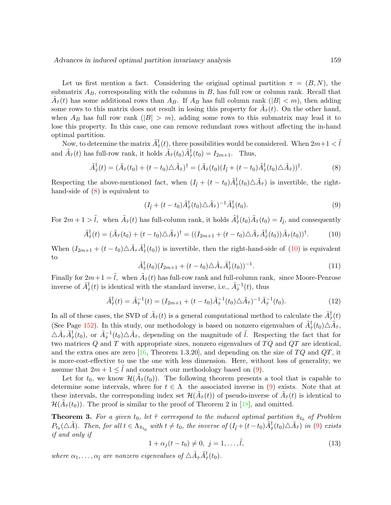Let us first mention a fact. Considering the original optimal partition  $\pi = (B, N)$ , the submatrix  $A_B$ , corresponding with the columns in B, has full row or column rank. Recall that  $\tilde{A}_{\tilde{\tau}}(t)$  has some additional rows than  $A_B$ . If  $A_B$  has full column rank  $(|B| < m)$ , then adding some rows to this matrix does not result in losing this property for  $\tilde{A}_{\tilde{\tau}}(t)$ . On the other hand, when  $A_B$  has full row rank  $(|B| > m)$ , adding some rows to this submatrix may lead it to lose this property. In this case, one can remove redundant rows without affecting the in-hand optimal partition.

Now, to determine the matrix  $\tilde{A}^{\dagger}_{\tilde{\tau}}(t)$ , three possibilities would be considered. When  $2m+1 < \tilde{l}$ and  $\tilde{A}_{\tilde{\tau}}(t)$  has full-row rank, it holds  $\tilde{A}_{\tilde{\tau}}(t_0)\tilde{A}_{\tilde{\tau}}^{\dagger}(t_0) = I_{2m+1}$ . Thus,

<span id="page-14-0"></span>
$$
\tilde{A}^{\dagger}_{\tilde{\tau}}(t) = (\tilde{A}_{\tilde{\tau}}(t_0) + (t - t_0)\Delta \tilde{A}_{\tilde{\tau}})^{\dagger} = (\tilde{A}_{\tilde{\tau}}(t_0)(I_{\tilde{l}} + (t - t_0)\tilde{A}_{\tilde{\tau}}^{\dagger}(t_0)\Delta \tilde{A}_{\tilde{\tau}}))^{\dagger}.
$$
\n(8)

Respecting the above-mentioned fact, when  $(I_{\tilde{l}} + (t - t_0)\tilde{A}_{\tilde{\tau}}^{\dagger}(t_0) \Delta \tilde{A}_{\tilde{\tau}})$  is invertible, the righthand-side of  $(8)$  is equivalent to

<span id="page-14-2"></span>
$$
(I_{\tilde{l}} + (t - t_0)\tilde{A}_{\tilde{\tau}}^{\dagger}(t_0)\triangle \tilde{A}_{\tilde{\tau}})^{-1}\tilde{A}_{\tilde{\tau}}^{\dagger}(t_0).
$$
\n
$$
(9)
$$

For  $2m+1 > \tilde{l}$ , when  $\tilde{A}_{\tilde{\tau}}(t)$  has full-column rank, it holds  $\tilde{A}_{\tilde{\tau}}^{\dagger}(t_0)\tilde{A}_{\tilde{\tau}}(t_0) = I_{\tilde{l}}$ , and consequently

<span id="page-14-1"></span>
$$
\tilde{A}^{\dagger}_{\tilde{\tau}}(t) = (\tilde{A}_{\tilde{\tau}}(t_0) + (t - t_0)\Delta \tilde{A}_{\tilde{\tau}})^{\dagger} = ((I_{2m+1} + (t - t_0)\Delta \tilde{A}_{\tau} \tilde{A}_{\tilde{\tau}}^{\dagger}(t_0))\tilde{A}_{\tilde{\tau}}(t_0))^{\dagger}.
$$
(10)

When  $(I_{2m+1}+(t-t_0)\Delta \tilde{A}_{\tau}\tilde{A}_{\tilde{\tau}}^{\dagger}(t_0))$  is invertible, then the right-hand-side of [\(10\)](#page-14-1) is equivalent to

$$
\tilde{A}^{\dagger}_{\tilde{\tau}}(t_0)(I_{2m+1} + (t - t_0)\Delta \tilde{A}_{\tau}\tilde{A}^{\dagger}_{\tilde{\tau}}(t_0))^{-1}.
$$
\n(11)

Finally for  $2m+1 = \tilde{l}$ , when  $\tilde{A}_{\tilde{\tau}}(t)$  has full-row rank and full-column rank, since Moore-Penrose inverse of  $\tilde{A}^{\dagger}_{\tilde{\tau}}(t)$  is identical with the standard inverse, i.e.,  $\tilde{A}^{-1}_{\tilde{\tau}}(t)$ , thus

$$
\tilde{A}^{\dagger}_{\tilde{\tau}}(t) = \tilde{A}^{-1}_{\tilde{\tau}}(t) = (I_{2m+1} + (t - t_0)\tilde{A}^{-1}_{\tilde{\tau}}(t_0)\triangle \tilde{A}_{\tilde{\tau}})^{-1}\tilde{A}^{-1}_{\tilde{\tau}}(t_0).
$$
\n(12)

In all of these cases, the SVD of  $\tilde{A}_{\tilde{\tau}}(t)$  is a general computational method to calculate the  $\tilde{A}_{\tilde{\tau}}^{\dagger}(t)$ (See Page [152\)](#page-6-0). In this study, our methodology is based on nonzero eigenvalues of  $\tilde{A}^{\dagger}_{\tilde{\tau}}(t_0) \triangle \tilde{A}_{\tilde{\tau}}$ ,  $\Delta \tilde{A}_{\tau} \tilde{A}_{\tau}^{\dagger}(t_0)$ , or  $\tilde{A}_{\tau}^{-1}(t_0) \Delta \tilde{A}_{\tau}$ , depending on the magnitude of  $\tilde{l}$ . Respecting the fact that for two matrices  $Q$  and  $T$  with appropriate sizes, nonzero eigenvalues of  $TQ$  and  $QT$  are identical, and the extra ones are zero [\[16,](#page-26-15) Theorem 1.3.20], and depending on the size of  $TQ$  and  $QT$ , it is more-cost-effective to use the one with less dimension. Here, without loss of generality, we assume that  $2m + 1 \leq \tilde{l}$  and construct our methodology based on [\(9\)](#page-14-2).

Let for  $t_0$ , we know  $\mathcal{H}(\tilde{A}_{\tilde{\tau}}(t_0))$ . The following theorem presents a tool that is capable to determine some intervals, where for  $t \in \Lambda$  the associated inverse in [\(9\)](#page-14-2) exists. Note that at these intervals, the corresponding index set  $\mathcal{H}(\tilde{A}_{\tilde{\tau}}(t))$  of pseudo-inverse of  $\tilde{A}_{\tilde{\tau}}(t)$  is identical to  $\mathcal{H}(\tilde{A}_{\tilde{\tau}}(t_0)).$  The proof is similar to the proof of Theorem 2 in [\[18\]](#page-27-5), and omitted.

<span id="page-14-4"></span>**Theorem 3.** For a given  $t_0$ , let  $\tilde{\tau}$  correspond to the induced optimal partition  $\tilde{\pi}_{t_0}$  of Problem  $P_{t_0}(\triangle \tilde{A})$ . Then, for all  $t \in \Lambda_{\tilde{\pi}_{t_0}}$  with  $t \neq t_0$ , the inverse of  $(I_{\tilde{l}} + (t-t_0)\tilde{A}_{\tilde{\tau}}^{\dagger}(t_0)\triangle \tilde{A}_{\tilde{\tau}})$  in [\(9\)](#page-14-2) exists if and only if

<span id="page-14-3"></span>
$$
1 + \alpha_j(t - t_0) \neq 0, \ j = 1, \dots, \tilde{l}, \tag{13}
$$

where  $\alpha_1, \ldots, \alpha_{\tilde{l}}$  are nonzero eigenvalues of  $\Delta \tilde{A}_{\tilde{\tau}} \tilde{A}_{\tilde{\tau}}^{\dagger}(t_0)$ .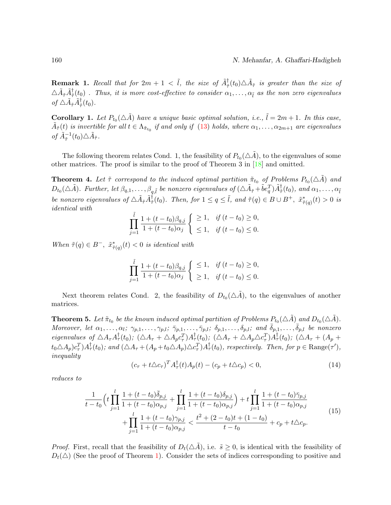**Remark 1.** Recall that for  $2m + 1 < \tilde{l}$ , the size of  $\tilde{A}^{\dagger}_{\tilde{\tau}}(t_0) \triangle \tilde{A}_{\tilde{\tau}}$  is greater than the size of  $\triangle \tilde{A}^\dagger_{\tilde{\tau}}(t_0)$  . Thus, it is more cost-effective to consider  $\alpha_1,\ldots,\alpha_{\tilde{l}}$  as the non zero eigenvalues of  $\triangle \tilde{A}_{\tilde{\tau}} \tilde{A}_{\tilde{\tau}}^{\dagger}(t_0)$ .

**Corollary 1.** Let  $P_{t_0}(\triangle \tilde{A})$  have a unique basic optimal solution, i.e.,  $\tilde{l} = 2m + 1$ . In this case,  $\tilde{A}_{\tilde{\tau}}(t)$  is invertible for all  $t \in \Lambda_{\tilde{\pi}_{t_0}}$  if and only if [\(13\)](#page-14-3) holds, where  $\alpha_1, \ldots, \alpha_{2m+1}$  are eigenvalues of  $\tilde{A}_{\tilde{\tau}}^{-1}(t_0) \triangle \tilde{A}_{\tilde{\tau}}$ .

The following theorem relates Cond. 1, the feasibility of  $P_{t_0}(\triangle \tilde{A})$ , to the eigenvalues of some other matrices. The proof is similar to the proof of Theorem 3 in [\[18\]](#page-27-5) and omitted.

**Theorem 4.** Let  $\tilde{\tau}$  correspond to the induced optimal partition  $\tilde{\pi}_{t_0}$  of Problems  $P_{t_0}(\triangle \tilde{A})$  and  $D_{t_0}(\triangle \tilde{A})$ . Further, let  $\beta_{q,1},\ldots,\beta_{q,\tilde{l}}$  be nonzero eigenvalues of  $(\triangle \tilde{A}_{\tilde{\tau}}+\tilde{b}e_q^T)\tilde{A}_{\tilde{\tau}}^{\dagger}(t_0)$ , and  $\alpha_1,\ldots,\alpha_{\tilde{l}}$ be nonzero eigenvalues of  $\Delta \tilde{A}_{\tilde{\tau}} \tilde{A}_{\tilde{\tau}}^{\dagger}(t_0)$ . Then, for  $1 \leq q \leq \tilde{l}$ , and  $\tilde{\tau}(q) \in B \cup B^+$ ,  $\tilde{x}_{\tilde{\tau}(q)}^*(t) > 0$  is identical with

$$
\prod_{j=1}^{\tilde{l}} \frac{1 + (t - t_0)\beta_{q,j}}{1 + (t - t_0)\alpha_j} \begin{cases} \geq 1, & \text{if } (t - t_0) \geq 0, \\ \leq 1, & \text{if } (t - t_0) \leq 0. \end{cases}
$$

When  $\tilde{\tau}(q) \in B^{-}$ ,  $\tilde{x}^{*}_{\tilde{\tau}(q)}(t) < 0$  is identical with

$$
\prod_{j=1}^{\tilde{l}} \frac{1 + (t - t_0)\beta_{q,j}}{1 + (t - t_0)\alpha_j} \begin{cases} \leq 1, & \text{if } (t - t_0) \geq 0, \\ \geq 1, & \text{if } (t - t_0) \leq 0. \end{cases}
$$

Next theorem relates Cond. 2, the feasibility of  $D_{t_0}(\triangle \tilde{A})$ , to the eigenvalues of another matrices.

<span id="page-15-2"></span>**Theorem 5.** Let  $\tilde{\pi}_{t_0}$  be the known induced optimal partition of Problems  $P_{t_0}(\triangle \tilde{A})$  and  $D_{t_0}(\triangle \tilde{A})$ . Moreover, let  $\alpha_1, \ldots, \alpha_l; \gamma_{p,1}, \ldots, \gamma_{p,l}; \bar{\gamma}_{p,1}, \ldots, \bar{\gamma}_{p,l}; \delta_{p,1}, \ldots, \delta_{p,l};$  and  $\bar{\delta}_{p,1}, \ldots, \bar{\delta}_{p,l}$  be nonzero eigenvalues of  $\triangle A_{\tau}A_{\tau}^{\dagger}(t_0)$ ;  $(\triangle A_{\tau} + \triangle A_{p}c_{\tau}^{T})A_{\tau}^{\dagger}(t_0)$ ;  $(\triangle A_{\tau} + \triangle A_{p}\triangle c_{\tau}^{T})A_{\tau}^{\dagger}(t_0)$ ;  $(\triangle A_{\tau} + (A_{p} +$  $t_0 \triangle A_p) c_\tau^T A_\tau^\dagger(t_0)$ ; and  $(\triangle A_\tau + (A_p + t_0 \triangle A_p) \triangle c_\tau^T) A_\tau^\dagger(t_0)$ , respectively. Then, for  $p \in \text{Range}(\tau')$ , inequality

<span id="page-15-0"></span>
$$
(c_{\tau} + t\Delta c_{\tau})^T A_{\tau}^{\dagger}(t)A_p(t) - (c_p + t\Delta c_p) < 0,\tag{14}
$$

reduces to

<span id="page-15-1"></span>
$$
\frac{1}{t-t_0} \left( t \prod_{j=1}^l \frac{1+(t-t_0)\bar{\delta}_{p,j}}{1+(t-t_0)\alpha_{p,j}} + \prod_{j=1}^l \frac{1+(t-t_0)\delta_{p,j}}{1+(t-t_0)\alpha_{p,j}} \right) + t \prod_{j=1}^l \frac{1+(t-t_0)\bar{\gamma}_{p,j}}{1+(t-t_0)\alpha_{p,j}} \n+ \prod_{j=1}^l \frac{1+(t-t_0)\gamma_{p,j}}{1+(t-t_0)\alpha_{p,j}} < \frac{t^2+(2-t_0)t+(1-t_0)}{t-t_0} + c_p + t\triangle c_p.
$$
\n(15)

*Proof.* First, recall that the feasibility of  $D_t(\Delta \tilde{A})$ , i.e.  $\tilde{s} \geq 0$ , is identical with the feasibility of  $D_t(\triangle)$  (See the proof of Theorem [1\)](#page-10-1). Consider the sets of indices corresponding to positive and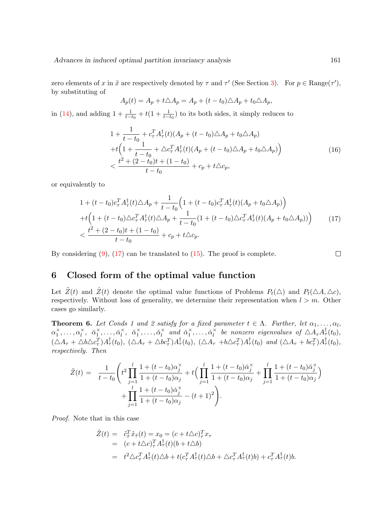zero elements of x in  $\tilde{x}$  are respectively denoted by  $\tau$  and  $\tau'$  (See Section [3\)](#page-5-0). For  $p \in \text{Range}(\tau')$ , by substituting of

$$
A_p(t) = A_p + t\triangle A_p = A_p + (t - t_0)\triangle A_p + t_0 \triangle A_p,
$$

in [\(14\)](#page-15-0), and adding  $1 + \frac{1}{t-t_0} + t(1 + \frac{1}{t-t_0})$  to its both sides, it simply reduces to

$$
1 + \frac{1}{t - t_0} + c_\tau^T A_\tau^\dagger(t) (A_p + (t - t_0) \triangle A_p + t_0 \triangle A_p)
$$
  
+  $t \Big( 1 + \frac{1}{t - t_0} + \triangle c_\tau^T A_\tau^\dagger(t) (A_p + (t - t_0) \triangle A_p + t_0 \triangle A_p) \Big)$   
<  $\frac{t^2 + (2 - t_0)t + (1 - t_0)}{t - t_0} + c_p + t \triangle c_p,$  (16)

or equivalently to

<span id="page-16-1"></span>
$$
1 + (t - t_0)c_{\tau}^T A_{\tau}^{\dagger}(t) \triangle A_p + \frac{1}{t - t_0} \Big( 1 + (t - t_0)c_{\tau}^T A_{\tau}^{\dagger}(t) (A_p + t_0 \triangle A_p) \Big) + t \Big( 1 + (t - t_0) \triangle c_{\tau}^T A_{\tau}^{\dagger}(t) \triangle A_p + \frac{1}{t - t_0} (1 + (t - t_0) \triangle c_{\tau}^T A_{\tau}^{\dagger}(t) (A_p + t_0 \triangle A_p)) \Big) < \frac{t^2 + (2 - t_0)t + (1 - t_0)}{t - t_0} + c_p + t \triangle c_p.
$$
 (17)

By considering  $(9)$ ,  $(17)$  can be translated to  $(15)$ . The proof is complete.

$$
\Box
$$

## <span id="page-16-0"></span>6 Closed form of the optimal value function

Let  $\tilde{Z}(t)$  and  $\tilde{Z}(t)$  denote the optimal value functions of Problems  $P_t(\triangle)$  and  $P_t(\triangle A, \triangle c)$ , respectively. Without loss of generality, we determine their representation when  $l > m$ . Other cases go similarly.

**Theorem 6.** Let Conds 1 and 2 satisfy for a fixed parameter  $t \in \Lambda$ . Further, let  $\alpha_1, \ldots, \alpha_l$ ,  $\alpha_1^{\times}, \ldots, \alpha_l^{\times}, \bar{\alpha}_1^{\times}, \ldots, \bar{\alpha}_l^{\times}$  $\check{i}$ ,  $\check{\alpha}_1^{\times}, \ldots, \check{\alpha}_l^{\times}$  $\check{i}$  and  $\check{\alpha}_1^{\times}, \ldots, \check{\alpha}_l^{\times}$  $\bar{\hat{R}}$  be nonzero eigenvalues of  $\triangle A_{\tau}A_{\tau}^{\dagger}(t_0)$ ,  $(\triangle A_{\tau} + \triangle b \triangle c_{\tau}^T)A_{\tau}^{\dagger}(t_0), \ (\triangle A_{\tau} + \triangle bc_{\tau}^T)A_{\tau}^{\dagger}(t_0), \ (\triangle A_{\tau} + b \triangle c_{\tau}^T)A_{\tau}^{\dagger}(t_0) \text{ and } (\triangle A_{\tau} + bc_{\tau}^T)A_{\tau}^{\dagger}(t_0),$ respectively. Then

$$
\tilde{Z}(t) = \frac{1}{t - t_0} \left( t^2 \prod_{j=1}^l \frac{1 + (t - t_0) \alpha_j^{\times}}{1 + (t - t_0) \alpha_j} + t \left( \prod_{j=1}^l \frac{1 + (t - t_0) \bar{\alpha}_j^{\times}}{1 + (t - t_0) \alpha_j} + \prod_{j=1}^l \frac{1 + (t - t_0) \bar{\alpha}_j^{\times}}{1 + (t - t_0) \alpha_j} \right) + \prod_{j=1}^l \frac{1 + (t - t_0) \bar{\alpha}_j^{\times}}{1 + (t - t_0) \alpha_j} - (t + 1)^2 \right).
$$

Proof. Note that in this case

$$
\tilde{Z}(t) = \tilde{c}_{\tilde{\tau}}^T \tilde{x}_{\tilde{\tau}}(t) = x_0 = (c + t \Delta c)^T_{\tau} x_{\tau} \n= (c + t \Delta c)^T_{\tau} A^{\dagger}_{\tau}(t) (b + t \Delta b) \n= t^2 \Delta c_{\tau}^T A^{\dagger}_{\tau}(t) \Delta b + t (c_{\tau}^T A^{\dagger}_{\tau}(t) \Delta b + \Delta c_{\tau}^T A^{\dagger}_{\tau}(t) b) + c_{\tau}^T A^{\dagger}_{\tau}(t) b.
$$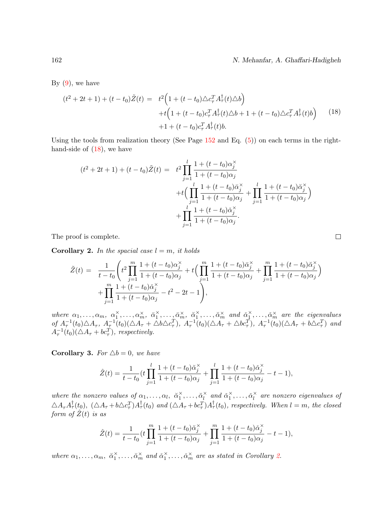162 N. Mehanfar, A. Ghaffari-Hadigheh

By  $(9)$ , we have

<span id="page-17-0"></span>
$$
(t^{2} + 2t + 1) + (t - t_{0})\tilde{Z}(t) = t^{2} \Big( 1 + (t - t_{0})\triangle c_{\tau}^{T} A_{\tau}^{\dagger}(t)\triangle b \Big) + t \Big( 1 + (t - t_{0})c_{\tau}^{T} A_{\tau}^{\dagger}(t)\triangle b + 1 + (t - t_{0})\triangle c_{\tau}^{T} A_{\tau}^{\dagger}(t)b \Big)
$$
(18)  
+1 + (t - t\_{0})c\_{\tau}^{T} A\_{\tau}^{\dagger}(t)b.

Using the tools from realization theory (See Page  $152$  and Eq.  $(5)$ ) on each terms in the righthand-side of  $(18)$ , we have

$$
(t^{2} + 2t + 1) + (t - t_{0})\tilde{Z}(t) = t^{2} \prod_{j=1}^{l} \frac{1 + (t - t_{0})\alpha_{j}^{x}}{1 + (t - t_{0})\alpha_{j}} + t \Big( \prod_{j=1}^{l} \frac{1 + (t - t_{0})\bar{\alpha}_{j}^{x}}{1 + (t - t_{0})\alpha_{j}} + \prod_{j=1}^{l} \frac{1 + (t - t_{0})\check{\alpha}_{j}^{x}}{1 + (t - t_{0})\alpha_{j}} + \prod_{j=1}^{l} \frac{1 + (t - t_{0})\check{\alpha}_{j}^{x}}{1 + (t - t_{0})\alpha_{j}}.
$$

The proof is complete.

<span id="page-17-1"></span>**Corollary 2.** In the spacial case  $l = m$ , it holds

$$
\tilde{Z}(t) = \frac{1}{t - t_0} \left( t^2 \prod_{j=1}^m \frac{1 + (t - t_0) \alpha_j^{\times}}{1 + (t - t_0) \alpha_j} + t \left( \prod_{j=1}^m \frac{1 + (t - t_0) \bar{\alpha}_j^{\times}}{1 + (t - t_0) \alpha_j} + \prod_{j=1}^m \frac{1 + (t - t_0) \bar{\alpha}_j^{\times}}{1 + (t - t_0) \alpha_j} \right) + \prod_{j=1}^m \frac{1 + (t - t_0) \bar{\alpha}_j^{\times}}{1 + (t - t_0) \alpha_j} - t^2 - 2t - 1 \right),
$$

where  $\alpha_1,\ldots,\alpha_m, \alpha_1^{\times},\ldots,\alpha_m^{\times}, \bar{\alpha}_1^{\times},\ldots,\bar{\alpha}_m^{\times}, \bar{\alpha}_1^{\times},\ldots,\bar{\alpha}_m^{\times}$  and  $\alpha_1^{\times},\ldots,\alpha_m^{\times}$  are the eigenvalues of  $A_{\tau}^{-1}(t_0)\triangle A_{\tau}$ ,  $A_{\tau}^{-1}(t_0)(\triangle A_{\tau} + \triangle b\triangle c_{\tau}^T)$ ,  $A_{\tau}^{-1}(t_0)(\triangle A_{\tau} + \triangle bc_{\tau}^T)$ ,  $A_{\tau}^{-1}(t_0)(\triangle A_{\tau} + b\triangle c_{\tau}^T)$  and  $A_{\tau}^{-1}(t_0)(\triangle A_{\tau} + bc_{\tau}^T)$ , respectively.

**Corollary 3.** For  $\triangle b = 0$ , we have

$$
\hat{Z}(t) = \frac{1}{t - t_0} \left( t \prod_{j=1}^l \frac{1 + (t - t_0) \check{\alpha}_j^{\times}}{1 + (t - t_0) \alpha_j} + \prod_{j=1}^l \frac{1 + (t - t_0) \check{\alpha}_j^{\times}}{1 + (t - t_0) \alpha_j} - t - 1 \right),\,
$$

where the nonzero values of  $\alpha_1, \ldots, \alpha_l, \; \check{\alpha}_1^{\times}, \ldots, \check{\alpha}_l^{\times}$  $\check{i}$  and  $\check{\alpha}_1^{\times}, \ldots, \check{\alpha}_l^{\times}$  $\sum\limits_l^{\times}$  are nonzero eigenvalues of  $\triangle A_{\tau}A_{\tau}^{\dagger}(t_0), \; (\triangle A_{\tau}+b\triangle c_{\tau}^T)A_{\tau}^{\dagger}(t_0)$  and  $(\triangle A_{\tau}+bc_{\tau}^T)A_{\tau}^{\dagger}(t_0)$ , respectively. When  $l=m$ , the closed form of  $\hat{Z}(t)$  is as

$$
\hat{Z}(t) = \frac{1}{t - t_0} \left( t \prod_{j=1}^m \frac{1 + (t - t_0) \check{\alpha}_j^{\times}}{1 + (t - t_0) \alpha_j} + \prod_{j=1}^m \frac{1 + (t - t_0) \check{\alpha}_j^{\times}}{1 + (t - t_0) \alpha_j} - t - 1 \right),\,
$$

where  $\alpha_1, \ldots, \alpha_m, \ \breve{\alpha}_1^{\times}, \ldots, \breve{\alpha}_m^{\times}$  and  $\breve{\alpha}_1^{\times}, \ldots, \breve{\alpha}_m^{\times}$  are as stated in Corollary [2.](#page-17-1)

 $\Box$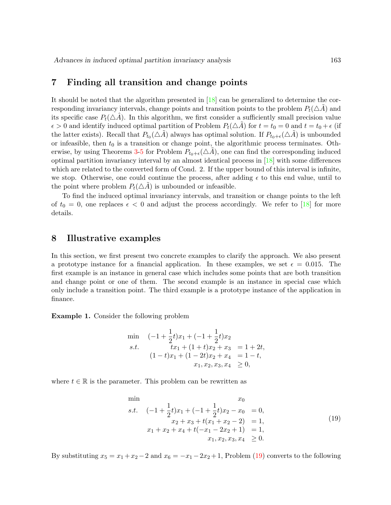### <span id="page-18-1"></span>7 Finding all transition and change points

It should be noted that the algorithm presented in [\[18\]](#page-27-5) can be generalized to determine the corresponding invariancy intervals, change points and transition points to the problem  $P_t(\triangle A)$  and its specific case  $P_t(\triangle A)$ . In this algorithm, we first consider a sufficiently small precision value  $\epsilon > 0$  and identify induced optimal partition of Problem  $P_t(\triangle \tilde{A})$  for  $t = t_0 = 0$  and  $t = t_0 + \epsilon$  (if the latter exists). Recall that  $P_{t_0}(\triangle \tilde{A})$  always has optimal solution. If  $P_{t_0+\epsilon}(\triangle \tilde{A})$  is unbounded or infeasible, then  $t_0$  is a transition or change point, the algorithmic process terminates. Oth-erwise, by using Theorems [3-](#page-14-4)[5](#page-15-2) for Problem  $P_{t_0+\epsilon}(\triangle A)$ , one can find the corresponding induced optimal partition invariancy interval by an almost identical process in [\[18\]](#page-27-5) with some differences which are related to the converted form of Cond. 2. If the upper bound of this interval is infinite, we stop. Otherwise, one could continue the process, after adding  $\epsilon$  to this end value, until to the point where problem  $P_t(\triangle A)$  is unbounded or infeasible.

To find the induced optimal invariancy intervals, and transition or change points to the left of  $t_0 = 0$ , one replaces  $\epsilon < 0$  and adjust the process accordingly. We refer to [\[18\]](#page-27-5) for more details.

## <span id="page-18-0"></span>8 Illustrative examples

In this section, we first present two concrete examples to clarify the approach. We also present a prototype instance for a financial application. In these examples, we set  $\epsilon = 0.015$ . The first example is an instance in general case which includes some points that are both transition and change point or one of them. The second example is an instance in special case which only include a transition point. The third example is a prototype instance of the application in finance.

<span id="page-18-3"></span>Example 1. Consider the following problem

$$
\begin{array}{ll}\n\min & (-1 + \frac{1}{2}t)x_1 + (-1 + \frac{1}{2}t)x_2 \\
s.t. & tx_1 + (1 + t)x_2 + x_3 = 1 + 2t, \\
(1 - t)x_1 + (1 - 2t)x_2 + x_4 = 1 - t, \\
& x_1, x_2, x_3, x_4 \ge 0,\n\end{array}
$$

where  $t \in \mathbb{R}$  is the parameter. This problem can be rewritten as

<span id="page-18-2"></span>
$$
\min \n\begin{array}{ll}\n\text{min} & x_0 \\
s.t. & (-1 + \frac{1}{2}t)x_1 + (-1 + \frac{1}{2}t)x_2 - x_0 = 0, \\
& x_2 + x_3 + t(x_1 + x_2 - 2) = 1, \\
& x_1 + x_2 + x_4 + t(-x_1 - 2x_2 + 1) = 1, \\
& x_1, x_2, x_3, x_4 \ge 0.\n\end{array}\n\tag{19}
$$

By substituting  $x_5 = x_1 + x_2 - 2$  and  $x_6 = -x_1 - 2x_2 + 1$ , Problem [\(19\)](#page-18-2) converts to the following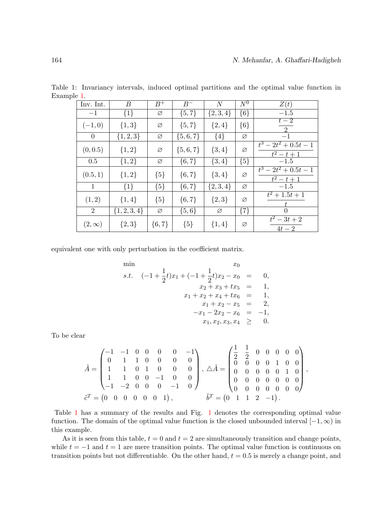<span id="page-19-0"></span>

| Inv. Int.      | B                | $B^+$      | $B^-$       | $\,N$       | $N^0$   | Z(t)                                          |
|----------------|------------------|------------|-------------|-------------|---------|-----------------------------------------------|
| $-1$           | $\{1\}$          | Ø          | $\{5, 7\}$  | $\{2,3,4\}$ | $\{6\}$ | $-1.5$                                        |
| $(-1,0)$       | $\{1,3\}$        | Ø          | $\{5, 7\}$  | $\{2,4\}$   | ${6}$   | $t-2$<br>2                                    |
| $\theta$       | $\{1,2,3\}$      | Ø          | $\{5,6,7\}$ | ${4}$       | Ø       | $-1$                                          |
| (0, 0.5)       | $\{1, 2\}$       | Ø          | $\{5,6,7\}$ | $\{3,4\}$   | Ø       | $\overline{t^3-2t^2+0.5t-1}$<br>$t^2 - t + 1$ |
| 0.5            | $\{1,2\}$        | Ø          | $\{6, 7\}$  | $\{3,4\}$   | ${5}$   | $-1.5$                                        |
| (0.5, 1)       | $\{1,2\}$        | ${5}$      | $\{6, 7\}$  | $\{3,4\}$   | Ø       | $t^3-2t^2+0.5t-1$<br>$t^2 - t + 1$            |
| $\mathbf{1}$   | ${1}$            | ${5}$      | $\{6, 7\}$  | $\{2,3,4\}$ | Ø       | $-1.5$                                        |
| (1, 2)         | $\{1,4\}$        | ${5}$      | $\{6, 7\}$  | $\{2,3\}$   | Ø       | $t^2+1.5t+1$                                  |
| $\overline{2}$ | $\{1, 2, 3, 4\}$ | Ø          | $\{5,6\}$   | Ø           | $\{7\}$ | $\Omega$                                      |
| $(2,\infty)$   | $\{2,3\}$        | $\{6, 7\}$ | ${5}$       | $\{1,4\}$   | Ø       | $t^2-3t+2$<br>$4t-2$                          |

Table 1: Invariancy intervals, induced optimal partitions and the optimal value function in Example [1.](#page-18-3)

equivalent one with only perturbation in the coefficient matrix.

min  
\n*x*<sub>0</sub>  
\n*x*<sub>1</sub> 
$$
(-1 + \frac{1}{2}t)x_1 + (-1 + \frac{1}{2}t)x_2 - x_0 = 0,
$$
  
\n*x*<sub>2</sub> + *x*<sub>3</sub> + *tx*<sub>5</sub> = 1,  
\n*x*<sub>1</sub> + *x*<sub>2</sub> + *x*<sub>4</sub> + *tx*<sub>6</sub> = 1,  
\n*x*<sub>1</sub> + *x*<sub>2</sub> - *x*<sub>5</sub> = 2,  
\n*-x*<sub>1</sub> - 2*x*<sub>2</sub> - *x*<sub>6</sub> = -1,  
\n*x*<sub>1</sub>, *x*<sub>2</sub>, *x*<sub>3</sub>, *x*<sub>4</sub>  $\geq 0.$ 

To be clear

$$
\tilde{A} = \begin{pmatrix}\n-1 & -1 & 0 & 0 & 0 & 0 & -1 \\
0 & 1 & 1 & 0 & 0 & 0 & 0 \\
1 & 1 & 0 & 1 & 0 & 0 & 0 \\
1 & 1 & 0 & 0 & -1 & 0 & 0 \\
-1 & -2 & 0 & 0 & 0 & -1 & 0\n\end{pmatrix}, \ \Delta \tilde{A} = \begin{pmatrix}\n\frac{1}{2} & \frac{1}{2} & 0 & 0 & 0 & 0 & 0 \\
0 & 0 & 0 & 1 & 0 & 0 & 0 \\
0 & 0 & 0 & 0 & 0 & 1 & 0 \\
0 & 0 & 0 & 0 & 0 & 0 & 0 \\
0 & 0 & 0 & 0 & 0 & 0 & 0\n\end{pmatrix},
$$
\n
$$
\tilde{c}^T = \begin{pmatrix}\n0 & 0 & 0 & 0 & 0 & 0 & 0 \\
0 & 0 & 0 & 0 & 0 & 0 & 0 \\
0 & 0 & 0 & 0 & 0 & 0 & 0 \\
0 & 0 & 0 & 0 & 0 & 0 & 0\n\end{pmatrix},
$$

Table [1](#page-19-0) has a summary of the results and Fig. [1](#page-20-0) denotes the corresponding optimal value function. The domain of the optimal value function is the closed unbounded interval  $[-1,\infty)$  in this example.

As it is seen from this table,  $t = 0$  and  $t = 2$  are simultaneously transition and change points, while  $t = -1$  and  $t = 1$  are mere transition points. The optimal value function is continuous on transition points but not differentiable. On the other hand,  $t = 0.5$  is merely a change point, and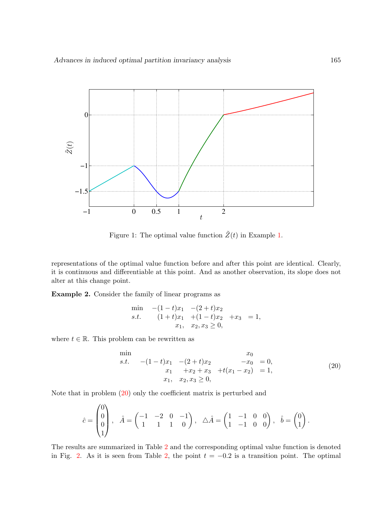

<span id="page-20-0"></span>Figure 1: The optimal value function  $\tilde{Z}(t)$  in Example [1.](#page-18-3)

representations of the optimal value function before and after this point are identical. Clearly, it is continuous and differentiable at this point. And as another observation, its slope does not alter at this change point.

<span id="page-20-2"></span>Example 2. Consider the family of linear programs as

$$
\begin{array}{ll}\n\min & -(1-t)x_1 & -(2+t)x_2 \\
s.t. & (1+t)x_1 & +(1-t)x_2 & +x_3 = 1, \\
x_1, & x_2, x_3 \ge 0,\n\end{array}
$$

where  $t \in \mathbb{R}$ . This problem can be rewritten as

<span id="page-20-1"></span>
$$
\begin{array}{ll}\n\text{min} & x_0 \\
s.t. & -(1-t)x_1 & -(2+t)x_2 & -x_0 & = 0, \\
& x_1 & +x_2 + x_3 & +t(x_1 - x_2) & = 1, \\
& x_1, \quad x_2, x_3 \ge 0,\n\end{array} \tag{20}
$$

Note that in problem [\(20\)](#page-20-1) only the coefficient matrix is perturbed and

$$
\hat{c} = \begin{pmatrix} 0 \\ 0 \\ 0 \\ 1 \end{pmatrix}, \quad \hat{A} = \begin{pmatrix} -1 & -2 & 0 & -1 \\ 1 & 1 & 1 & 0 \end{pmatrix}, \quad \triangle \hat{A} = \begin{pmatrix} 1 & -1 & 0 & 0 \\ 1 & -1 & 0 & 0 \end{pmatrix}, \quad \hat{b} = \begin{pmatrix} 0 \\ 1 \end{pmatrix}.
$$

The results are summarized in Table [2](#page-21-0) and the corresponding optimal value function is denoted in Fig. [2.](#page-21-1) As it is seen from Table [2,](#page-21-0) the point  $t = -0.2$  is a transition point. The optimal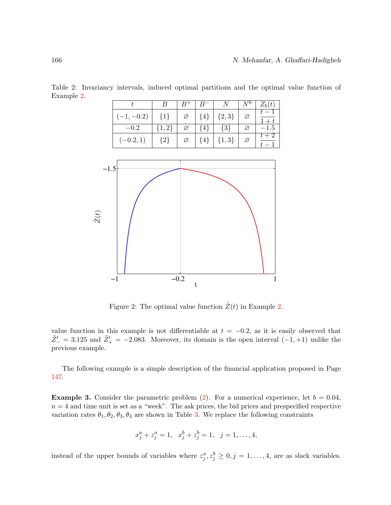|             |           |   |         | - N       |   | $Z_b(t)$ |
|-------------|-----------|---|---------|-----------|---|----------|
| $-1, -0.2$  | $\{1\}$   | Ø | $\{4\}$ | ${2,3}$   |   |          |
| $-0.2$      | $\{1,2\}$ |   | 4       | $\{3\}$   | Ø | -1.5     |
| $(-0.2, 1)$ | ${2}$     | Ø | 4       | $\{1,3\}$ | Ø |          |

<span id="page-21-0"></span>Table 2: Invariancy intervals, induced optimal partitions and the optimal value function of Example [2.](#page-20-2)



<span id="page-21-1"></span>Figure 2: The optimal value function  $\hat{Z}(t)$  in Example [2.](#page-20-2)

value function in this example is not differentiable at  $t = -0.2$ , as it is easily observed that  $\tilde{Z}'_{-} = 3.125$  and  $\tilde{Z}'_{+} = -2.083$ . Moreover, its domain is the open interval  $(-1, +1)$  unlike the previous example.

The following example is a simple description of the financial application proposed in Page [147.](#page-1-0)

<span id="page-21-2"></span>**Example 3.** Consider the parametric problem [\(2\)](#page-2-0). For a numerical experience, let  $b = 0.04$ ,  $n = 4$  and time unit is set as a "week". The ask prices, the bid prices and prespecified respective variation rates  $\theta_1, \theta_2, \theta_3, \theta_4$  are shown in Table [3.](#page-22-0) We replace the following constraints

$$
x_j^a + z_j^a = 1, \quad x_j^b + z_j^b = 1, \quad j = 1, \dots, 4,
$$

instead of the upper bounds of variables where  $z_j^a, z_j^b \geq 0, j = 1, \ldots, 4$ , are as slack variables.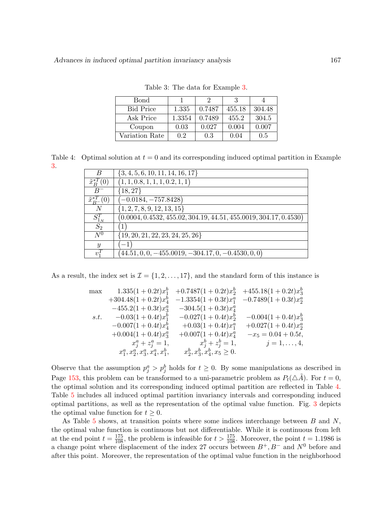| <b>Bond</b>      |        |        | 3      |        |
|------------------|--------|--------|--------|--------|
| <b>Bid Price</b> | 1.335  | 0.7487 | 455.18 | 304.48 |
| Ask Price        | 1.3354 | 0.7489 | 455.2  | 304.5  |
| Coupon           | 0.03   | 0.027  | 0.004  | 0.007  |
| Variation Rate   | 0.2    | 0.3    | 0.04   | 0.5    |

<span id="page-22-0"></span>Table 3: The data for Example [3.](#page-21-2)

Table 4: Optimal solution at  $t = 0$  and its corresponding induced optimal partition in Example [3.](#page-21-2)

<span id="page-22-1"></span>

| B                        | $\{3, 4, 5, 6, 10, 11, 14, 16, 17\}$                                |
|--------------------------|---------------------------------------------------------------------|
| $\tilde{x}_B^{*T}(0)$    | (1, 1, 0.8, 1, 1, 1, 0.2, 1, 1)                                     |
|                          | ${18, 27}$                                                          |
| $\tilde{x}_{B-}^{*T}(0)$ | $(-0.0184, -757.8428)$                                              |
| N                        | $\{1, 2, 7, 8, 9, 12, 13, 15\}$                                     |
| $S_{1_N}^T$              | $(0.0004, 0.4532, 455.02, 304.19, 44.51, 455.0019, 304.17, 0.4530)$ |
| $S_2$                    |                                                                     |
| $\overline{N^0}$         | $\{19, 20, 21, 22, 23, 24, 25, 26\}$                                |
| $\mathcal{Y}$            |                                                                     |
| $v_1^I$                  | $(44.51, 0, 0, -455.0019, -304.17, 0, -0.4530, 0, 0)$               |

As a result, the index set is  $\mathcal{I} = \{1, 2, \ldots, 17\}$ , and the standard form of this instance is

$$
\begin{array}{llllllll} \max & 1.335(1+0.2t)x_1^b & +0.7487(1+0.2t)x_2^b & +455.18(1+0.2t)x_3^b \\ +304.48(1+0.2t)x_4^b & -1.3354(1+0.3t)x_1^a & -0.7489(1+0.3t)x_2^a \\ -455.2(1+0.3t)x_3^a & -304.5(1+0.3t)x_4^a \\ s.t. & -0.03(1+0.4t)x_1^b & -0.027(1+0.4t)x_2^b & -0.004(1+0.4t)x_3^b \\ & -0.007(1+0.4t)x_4^b & +0.03(1+0.4t)x_1^a & +0.027(1+0.4t)x_2^a \\ +0.004(1+0.4t)x_3^a & +0.007(1+0.4t)x_4^a & -x_5 = 0.04+0.5t, \\ & x_j^a+z_j^a=1, & x_j^b+z_j^b=1, & j=1,\ldots,4, \\ & x_1^a,x_2^a,x_3^a,x_4^a,x_1^b, & x_2^b,x_3^b,x_4^b,x_5 \geq 0. \end{array}
$$

Observe that the assumption  $p_j^a > p_j^b$  holds for  $t \geq 0$ . By some manipulations as described in Page [153,](#page-8-0) this problem can be transformed to a uni-parametric problem as  $P_t(\triangle \tilde{A})$ . For  $t = 0$ , the optimal solution and its corresponding induced optimal partition are reflected in Table [4.](#page-22-1) Table [5](#page-23-0) includes all induced optimal partition invariancy intervals and corresponding induced optimal partitions, as well as the representation of the optimal value function. Fig. [3](#page-24-0) depicts the optimal value function for  $t \geq 0$ .

As Table  $5$  shows, at transition points where some indices interchange between  $B$  and  $N$ , the optimal value function is continuous but not differentiable. While it is continuous from left at the end point  $t = \frac{175}{108}$ , the problem is infeasible for  $t > \frac{175}{108}$ . Moreover, the point  $t = 1.1986$  is a change point where displacement of the index 27 occurs between  $B^+, B^-$  and  $N^0$  before and after this point. Moreover, the representation of the optimal value function in the neighborhood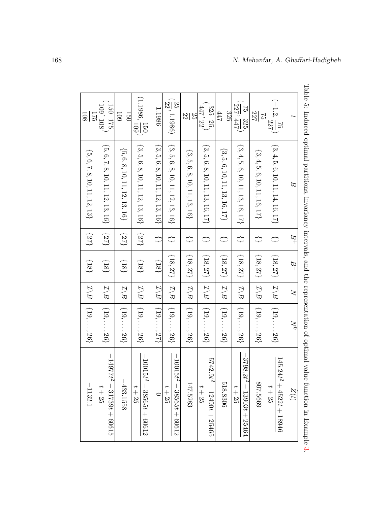<span id="page-23-0"></span>

| C <sub>1</sub><br>108               | 109' 108'<br>150 175                   | 109<br>150                 | $(1.1986, \frac{150}{109})$                      | 1.1986                               | $(\frac{25}{22}, 1.1986)$                        | $\overline{2}$<br>52      | $(\frac{325}{447}, \frac{25}{22})$           | 325<br>447                                   | $\left(\frac{1}{227}, \frac{1}{447}\right)$<br>75 325 | 727<br>$\overline{C}$          | $(-1.2,\frac{75}{227})$              | $\overline{f}$          |
|-------------------------------------|----------------------------------------|----------------------------|--------------------------------------------------|--------------------------------------|--------------------------------------------------|---------------------------|----------------------------------------------|----------------------------------------------|-------------------------------------------------------|--------------------------------|--------------------------------------|-------------------------|
| ${5, 6, 7, 8, 10, 11, 12, 13}$      | $\{5,6,7,8,10,11,12,13,16\}$           | $\{5,6,8,10,11,12,13,16\}$ | $\{3, 5, 6, 8, 10, 11, 12, 13, 16\}$             | $\{3, 5, 6, 8, 10, 11, 12, 13, 16\}$ | $\{3, 5, 6, 8, 10, 11, 12, 13, 16\}$             | $\{3,5,6,8,10,11,13,16\}$ | $\{3, 5, 6, 8, 10, 11, 13, 16, 17\}$         | $\{3,5,6,10,11,13,16,17\}$                   | ${3, 4, 5, 6, 10, 11, 13, 16, 17}$                    | ${3, 4, 5, 6, 10, 11, 16, 17}$ | $\{3,4,5,6,10,11,14,16,17\}$         | $\beta$                 |
| $\{25\}$                            | ${251}$                                | $\{22\}$                   | (27)                                             | $\rightleftarrows$                   | ↔                                                | ↔                         | ↔                                            | $\rightleftarrows$                           | ↔                                                     | ₿                              | ↔                                    | $B^+$                   |
| $\{81\}$                            | $\{81\}$                               | $\{18\}$                   | $\{81\}$                                         | $\{81\}$                             | $\{18,27\}$                                      | ${18,27}$                 | $\{18,27\}$ $\mid$ $\mathcal{I}\backslash B$ | $\{18,27\}$ $\mid$ $\mathcal{I}\backslash B$ | ${18,27}$                                             | $\{18,27\}$                    | $\{18,27\}$                          | $\overline{B}$          |
|                                     | $\mathcal{I}\backslash B$              | $\mathcal{I}\backslash B$  | $\mathcal{I}\backslash B$                        | $\mathcal{I}\backslash B$            | $ Z \rangle B$                                   | $ \mathcal{I} B$          |                                              |                                              | $ \mathcal{I} B$                                      | $ \mathcal{I} B$               | $\mathcal{I}\backslash B$            | $\overline{\mathsf{N}}$ |
| $\mathcal{I}\backslash B$ [19,, 26] | $\{19, \ldots, 26\}$                   | $\{19, \ldots, 26\}$       | $\{19, \ldots, 26\}$                             | $\{19, \ldots, 27\}$                 | $\{19, \ldots, 26\}$                             | $\{19, \ldots, 26\}$      | $\{19, \ldots, 26\}$                         | $\{19, \ldots, 26\}$                         | $\{19, \ldots, 26\}$                                  | $\{19, \ldots, 26\}$           | $\{19, \ldots, 26\}$                 | $\gtrsim$               |
| $-1132.1$                           | $-14977t^2 - 31739t + 60615$<br>$t+25$ | $-433.1558$                | $-1001-$<br>$15t^2 - 38565t + 60612$<br>$t + 25$ | $\subset$                            | $1001 -$<br>$15f^2 - 38000f + 60012$<br>$t + 25$ | 147.5283                  | $-5742.9t^2 - 12490t + 25465$<br>$t + 25$    | 518.8306                                     | $-3798$<br>$.2t^2 - 13903t + 25464$<br>$t+25$         | 807.5669                       | $145.24t^2 + 452t + 18946$<br>$t+25$ | Z(t)                    |

Table 5: Induced optimal partitions, invariancy intervals, and the representation of optimal value function in Example Table 5: Induced optimal partitions, invariancy intervals, and the representation of optimal value function in Example [3.](#page-21-2)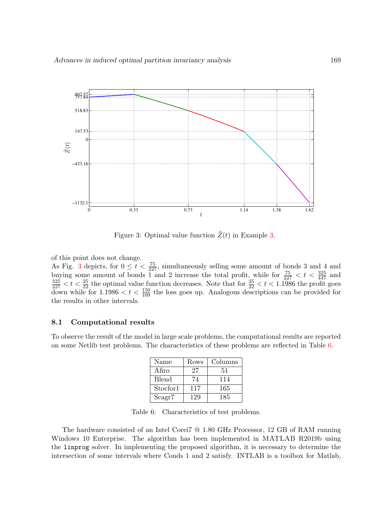

<span id="page-24-0"></span>Figure 3: Optimal value function  $\tilde{Z}(t)$  in Example [3.](#page-21-2)

of this point does not change. As Fig. [3](#page-24-0) depicts, for  $0 \le t < \frac{75}{227}$ , simultaneously selling some amount of bonds 3 and 4 and buying some amount of bonds 1 and 2 increase the total profit, while for  $\frac{75}{227} < t < \frac{325}{447}$  and  $\frac{325}{227} < t < \frac{25}{22}$  the optimal value function decreases. Note that for  $\frac{25}{22} < t < 1.1986$  the profit goes down while for  $1.1986 < t < \frac{150}{109}$  the loss goes up. Analogous descriptions can be provided for the results in other intervals.

#### 8.1 Computational results

To observe the result of the model in large scale problems, the computational results are reported on some Netlib test problems. The characteristics of these problems are reflected in Table [6.](#page-24-1)

| Name         | Rows | Columns |
|--------------|------|---------|
| Afiro        | 27   | 51      |
| <b>Blend</b> | 74   | 114     |
| Stocfor1     | 117  | 165     |
| Scagr7       | 129  | 185     |

<span id="page-24-1"></span>Table 6: Characteristics of test problems.

The hardware consisted of an Intel Corei7 @ 1.80 GHz Processor, 12 GB of RAM running Windows 10 Enterprise. The algorithm has been implemented in MATLAB R2019b using the linprog solver. In implementing the proposed algorithm, it is necessary to determine the intersection of some intervals where Conds 1 and 2 satisfy. INTLAB is a toolbox for Matlab,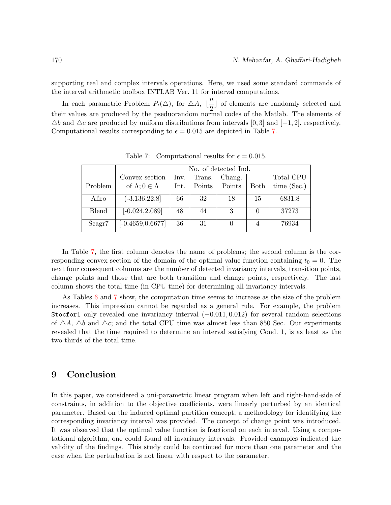supporting real and complex intervals operations. Here, we used some standard commands of the interval arithmetic toolbox INTLAB Ver. 11 for interval computations.

In each parametric Problem  $P_t(\triangle)$ , for  $\triangle A$ ,  $\lfloor \frac{n}{2} \rfloor$  $\frac{c}{2}$  of elements are randomly selected and their values are produced by the pseduorandom normal codes of the Matlab. The elements of  $\triangle b$  and  $\triangle c$  are produced by uniform distributions from intervals [0, 3] and [−1, 2], respectively. Computational results corresponding to  $\epsilon = 0.015$  are depicted in Table [7.](#page-25-0)

|              |                                | No. of detected Ind. |                               |        |      |               |  |
|--------------|--------------------------------|----------------------|-------------------------------|--------|------|---------------|--|
|              | Convex section                 | Inv.                 | Total CPU<br>Chang.<br>Trans. |        |      |               |  |
| Problem      | of $\Lambda$ ; $0 \in \Lambda$ | $_{\rm Int.}$        | Points                        | Points | Both | time $(Sec.)$ |  |
| Afiro        | $(-3.136, 22.8)$               | 66                   | 32                            | 18     | 15   | 6831.8        |  |
| <b>Blend</b> | $[-0.024, 2.089]$              | 48                   | 44                            | 3      |      | 37273         |  |
| Scagr7       | $[-0.4659, 0.6677]$            | 36                   | 31                            |        |      | 76934         |  |

<span id="page-25-0"></span>Table 7: Computational results for  $\epsilon = 0.015$ .

In Table [7,](#page-25-0) the first column denotes the name of problems; the second column is the corresponding convex section of the domain of the optimal value function containing  $t_0 = 0$ . The next four consequent columns are the number of detected invariancy intervals, transition points, change points and those that are both transition and change points, respectively. The last column shows the total time (in CPU time) for determining all invariancy intervals.

As Tables [6](#page-24-1) and [7](#page-25-0) show, the computation time seems to increase as the size of the problem increases. This impression cannot be regarded as a general rule. For example, the problem Stocfor1 only revealed one invariancy interval  $(-0.011, 0.012)$  for several random selections of  $\Delta A$ ,  $\Delta b$  and  $\Delta c$ ; and the total CPU time was almost less than 850 Sec. Our experiments revealed that the time required to determine an interval satisfying Cond. 1, is as least as the two-thirds of the total time.

## 9 Conclusion

In this paper, we considered a uni-parametric linear program when left and right-hand-side of constraints, in addition to the objective coefficients, were linearly perturbed by an identical parameter. Based on the induced optimal partition concept, a methodology for identifying the corresponding invariancy interval was provided. The concept of change point was introduced. It was observed that the optimal value function is fractional on each interval. Using a computational algorithm, one could found all invariancy intervals. Provided examples indicated the validity of the findings. This study could be continued for more than one parameter and the case when the perturbation is not linear with respect to the parameter.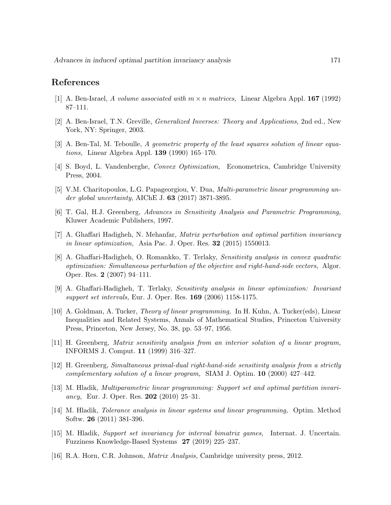## References

- <span id="page-26-12"></span>[1] A. Ben-Israel, A volume associated with  $m \times n$  matrices, Linear Algebra Appl. **167** (1992) 87–111.
- <span id="page-26-11"></span>[2] A. Ben-Israel, T.N. Greville, Generalized Inverses: Theory and Applications, 2nd ed., New York, NY: Springer, 2003.
- <span id="page-26-13"></span>[3] A. Ben-Tal, M. Teboulle, A geometric property of the least squares solution of linear equations, Linear Algebra Appl. 139 (1990) 165–170.
- <span id="page-26-14"></span>[4] S. Boyd, L. Vandenberghe, Convex Optimization, Econometrica, Cambridge University Press, 2004.
- <span id="page-26-9"></span>[5] V.M. Charitopoulos, L.G. Papageorgiou, V. Dua, Multi-parametric linear programming under global uncertainty, AIChE J. 63 (2017) 3871-3895.
- <span id="page-26-3"></span>[6] T. Gal, H.J. Greenberg, Advances in Sensitivity Analysis and Parametric Programming, Kluwer Academic Publishers, 1997.
- <span id="page-26-10"></span>[7] A. Ghaffari Hadigheh, N. Mehanfar, Matrix perturbation and optimal partition invariancy in linear optimization, Asia Pac. J. Oper. Res. 32 (2015) 1550013.
- <span id="page-26-5"></span>[8] A. Ghaffari-Hadigheh, O. Romankko, T. Terlaky, Sensitivity analysis in convex quadratic optimization: Simultaneous perturbation of the objective and right-hand-side vectors, Algor. Oper. Res. 2 (2007) 94–111.
- <span id="page-26-1"></span>[9] A. Ghaffari-Hadigheh, T. Terlaky, Sensitivity analysis in linear optimization: Invariant support set intervals, Eur. J. Oper. Res. 169 (2006) 1158-1175.
- <span id="page-26-0"></span>[10] A. Goldman, A. Tucker, Theory of linear programming, In H. Kuhn, A. Tucker(eds), Linear Inequalities and Related Systems, Annals of Mathematical Studies, Princeton University Press, Princeton, New Jersey, No. 38, pp. 53–97, 1956.
- <span id="page-26-8"></span>[11] H. Greenberg, Matrix sensitivity analysis from an interior solution of a linear program, INFORMS J. Comput. 11 (1999) 316–327.
- <span id="page-26-6"></span>[12] H. Greenberg, Simultaneous primal-dual right-hand-side sensitivity analysis from a strictly complementary solution of a linear program, SIAM J. Optim. 10 (2000) 427–442.
- <span id="page-26-4"></span>[13] M. Hladik, Multiparametric linear programming: Support set and optimal partition invariancy, Eur. J. Oper. Res. 202  $(2010)$  25–31.
- <span id="page-26-7"></span>[14] M. Hladik, Tolerance analysis in linear systems and linear programming, Optim. Method Softw. 26 (2011) 381-396.
- <span id="page-26-2"></span>[15] M. Hladik, Support set invariancy for interval bimatrix games, Internat. J. Uncertain. Fuzziness Knowledge-Based Systems 27 (2019) 225–237.
- <span id="page-26-15"></span>[16] R.A. Horn, C.R. Johnson, Matrix Analysis, Cambridge university press, 2012.